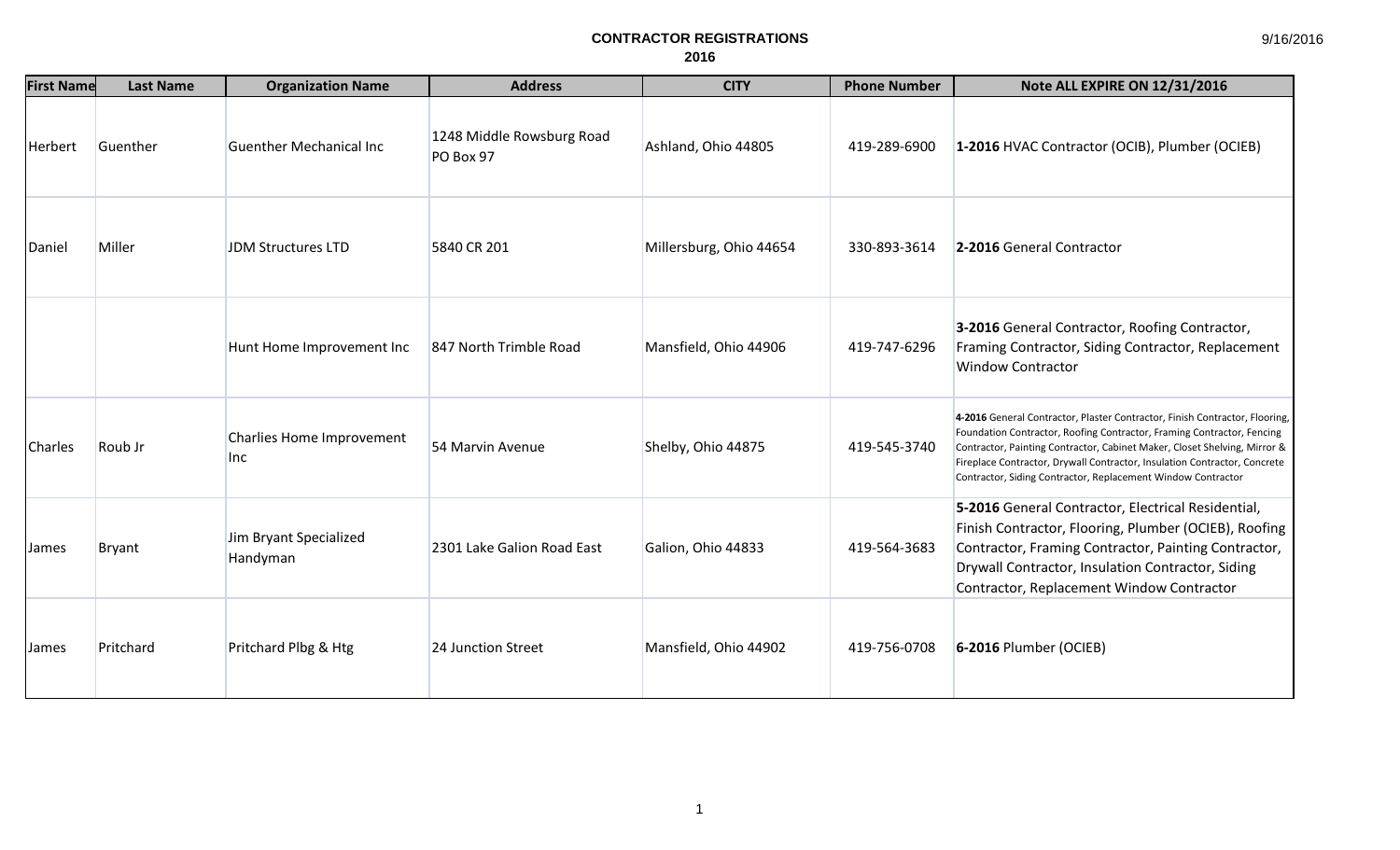| <b>First Name</b> | Last Name     | <b>Organization Name</b>           | <b>Address</b>                         | <b>CITY</b>             | <b>Phone Number</b> | <b>Note ALL EXPIRE ON 12/31/2016</b>                                                                                                                                                                                                                                                                                                                                            |
|-------------------|---------------|------------------------------------|----------------------------------------|-------------------------|---------------------|---------------------------------------------------------------------------------------------------------------------------------------------------------------------------------------------------------------------------------------------------------------------------------------------------------------------------------------------------------------------------------|
| Herbert           | Guenther      | <b>Guenther Mechanical Inc</b>     | 1248 Middle Rowsburg Road<br>PO Box 97 | Ashland, Ohio 44805     | 419-289-6900        | 1-2016 HVAC Contractor (OCIB), Plumber (OCIEB)                                                                                                                                                                                                                                                                                                                                  |
| Daniel            | Miller        | JDM Structures LTD                 | 5840 CR 201                            | Millersburg, Ohio 44654 | 330-893-3614        | 2-2016 General Contractor                                                                                                                                                                                                                                                                                                                                                       |
|                   |               | Hunt Home Improvement Inc          | 847 North Trimble Road                 | Mansfield, Ohio 44906   | 419-747-6296        | 3-2016 General Contractor, Roofing Contractor,<br>Framing Contractor, Siding Contractor, Replacement<br><b>Window Contractor</b>                                                                                                                                                                                                                                                |
| Charles           | Roub Jr       | Charlies Home Improvement<br>Inc   | 54 Marvin Avenue                       | Shelby, Ohio 44875      | 419-545-3740        | 4-2016 General Contractor, Plaster Contractor, Finish Contractor, Flooring,<br>Foundation Contractor, Roofing Contractor, Framing Contractor, Fencing<br>Contractor, Painting Contractor, Cabinet Maker, Closet Shelving, Mirror &<br>Fireplace Contractor, Drywall Contractor, Insulation Contractor, Concrete<br>Contractor, Siding Contractor, Replacement Window Contractor |
| <b>James</b>      | <b>Bryant</b> | Jim Bryant Specialized<br>Handyman | 2301 Lake Galion Road East             | Galion, Ohio 44833      | 419-564-3683        | 5-2016 General Contractor, Electrical Residential,<br>Finish Contractor, Flooring, Plumber (OCIEB), Roofing<br>Contractor, Framing Contractor, Painting Contractor,<br>Drywall Contractor, Insulation Contractor, Siding<br>Contractor, Replacement Window Contractor                                                                                                           |
| <b>James</b>      | Pritchard     | Pritchard Plbg & Htg               | 24 Junction Street                     | Mansfield, Ohio 44902   | 419-756-0708        | 6-2016 Plumber (OCIEB)                                                                                                                                                                                                                                                                                                                                                          |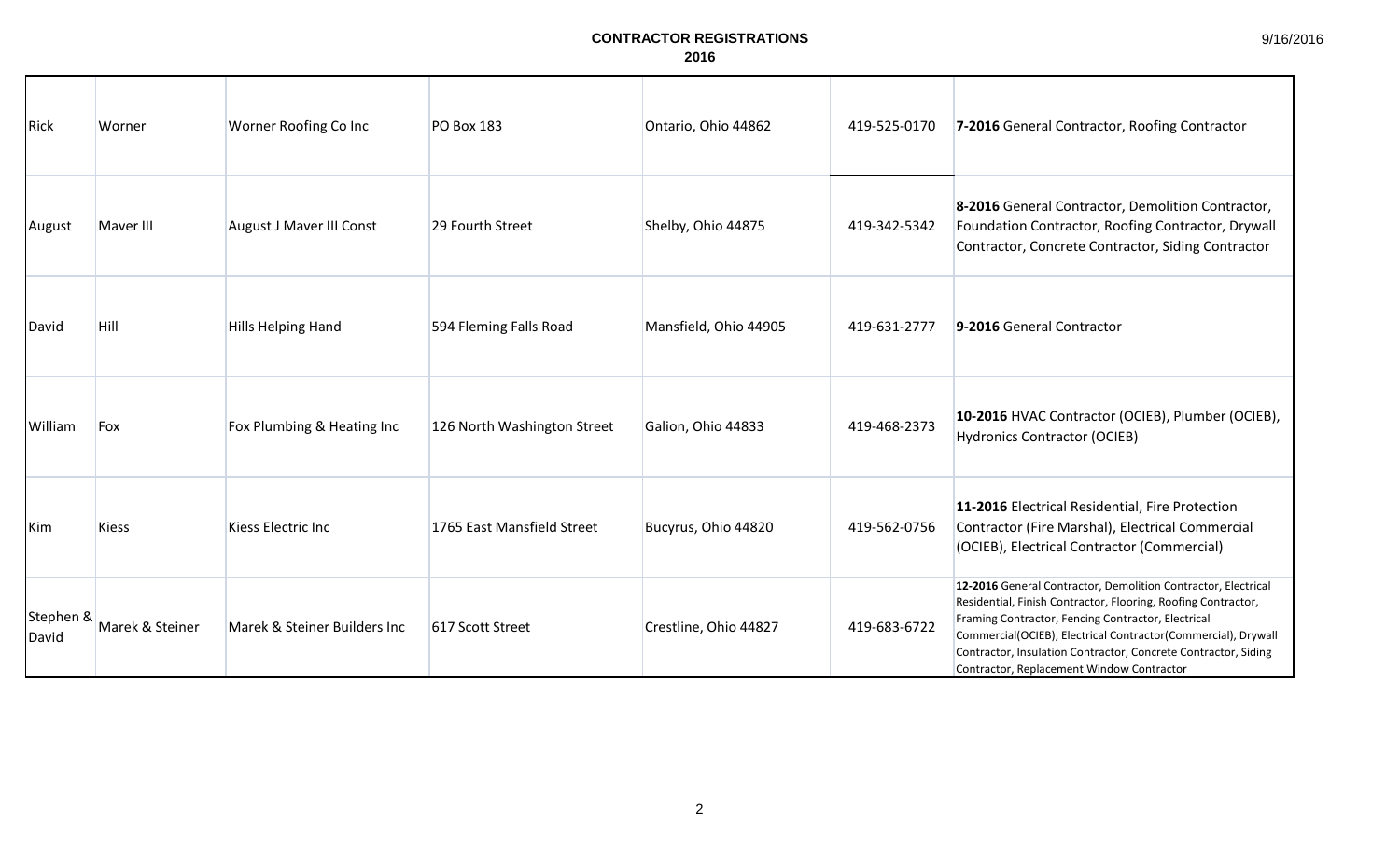9/16/2016

| Rick               | Worner          | Worner Roofing Co Inc        | <b>PO Box 183</b>           | Ontario, Ohio 44862   | 419-525-0170 | 7-2016 General Contractor, Roofing Contractor                                                                                                                                                                                                                                                                                                                        |
|--------------------|-----------------|------------------------------|-----------------------------|-----------------------|--------------|----------------------------------------------------------------------------------------------------------------------------------------------------------------------------------------------------------------------------------------------------------------------------------------------------------------------------------------------------------------------|
| August             | Maver III       | August J Maver III Const     | 29 Fourth Street            | Shelby, Ohio 44875    | 419-342-5342 | 8-2016 General Contractor, Demolition Contractor,<br>Foundation Contractor, Roofing Contractor, Drywall<br>Contractor, Concrete Contractor, Siding Contractor                                                                                                                                                                                                        |
| David              | Hill            | Hills Helping Hand           | 594 Fleming Falls Road      | Mansfield, Ohio 44905 | 419-631-2777 | 9-2016 General Contractor                                                                                                                                                                                                                                                                                                                                            |
| William            | Fox             | Fox Plumbing & Heating Inc   | 126 North Washington Street | Galion, Ohio 44833    | 419-468-2373 | 10-2016 HVAC Contractor (OCIEB), Plumber (OCIEB),<br><b>Hydronics Contractor (OCIEB)</b>                                                                                                                                                                                                                                                                             |
| Kim                | <b>Kiess</b>    | Kiess Electric Inc           | 1765 East Mansfield Street  | Bucyrus, Ohio 44820   | 419-562-0756 | 11-2016 Electrical Residential, Fire Protection<br>Contractor (Fire Marshal), Electrical Commercial<br>(OCIEB), Electrical Contractor (Commercial)                                                                                                                                                                                                                   |
| Stephen &<br>David | Marek & Steiner | Marek & Steiner Builders Inc | 617 Scott Street            | Crestline, Ohio 44827 | 419-683-6722 | 12-2016 General Contractor, Demolition Contractor, Electrical<br>Residential, Finish Contractor, Flooring, Roofing Contractor,<br>Framing Contractor, Fencing Contractor, Electrical<br>Commercial(OCIEB), Electrical Contractor(Commercial), Drywall<br>Contractor, Insulation Contractor, Concrete Contractor, Siding<br>Contractor, Replacement Window Contractor |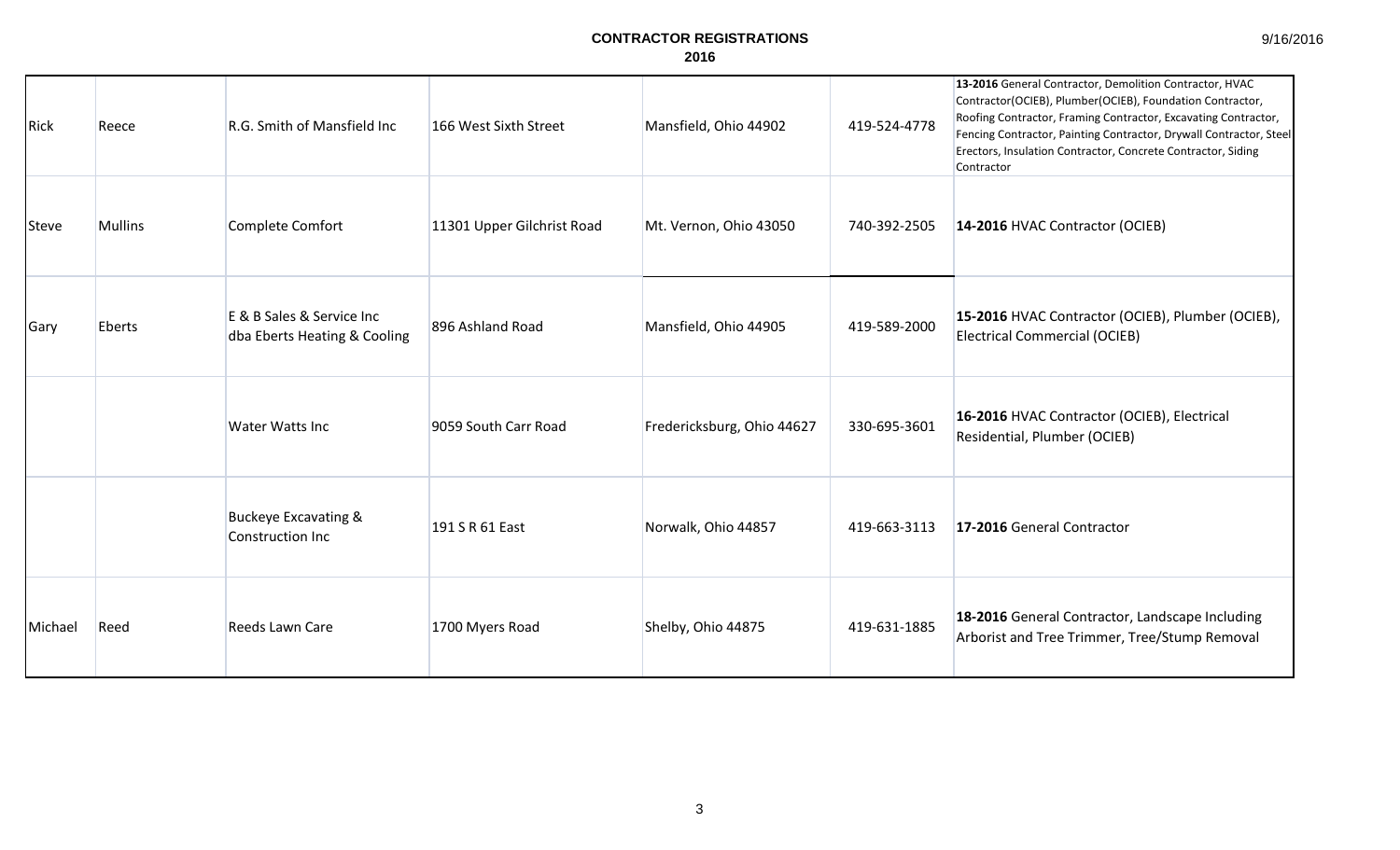9/16/2016

| Rick         | Reece          | R.G. Smith of Mansfield Inc                               | 166 West Sixth Street      | Mansfield, Ohio 44902      | 419-524-4778 | 13-2016 General Contractor, Demolition Contractor, HVAC<br>Contractor(OCIEB), Plumber(OCIEB), Foundation Contractor,<br>Roofing Contractor, Framing Contractor, Excavating Contractor,<br>Fencing Contractor, Painting Contractor, Drywall Contractor, Steel<br>Erectors, Insulation Contractor, Concrete Contractor, Siding<br>Contractor |
|--------------|----------------|-----------------------------------------------------------|----------------------------|----------------------------|--------------|--------------------------------------------------------------------------------------------------------------------------------------------------------------------------------------------------------------------------------------------------------------------------------------------------------------------------------------------|
| <b>Steve</b> | <b>Mullins</b> | Complete Comfort                                          | 11301 Upper Gilchrist Road | Mt. Vernon, Ohio 43050     | 740-392-2505 | 14-2016 HVAC Contractor (OCIEB)                                                                                                                                                                                                                                                                                                            |
| Gary         | Eberts         | E & B Sales & Service Inc<br>dba Eberts Heating & Cooling | 896 Ashland Road           | Mansfield, Ohio 44905      | 419-589-2000 | 15-2016 HVAC Contractor (OCIEB), Plumber (OCIEB),<br><b>Electrical Commercial (OCIEB)</b>                                                                                                                                                                                                                                                  |
|              |                | <b>Water Watts Inc</b>                                    | 9059 South Carr Road       | Fredericksburg, Ohio 44627 | 330-695-3601 | 16-2016 HVAC Contractor (OCIEB), Electrical<br>Residential, Plumber (OCIEB)                                                                                                                                                                                                                                                                |
|              |                | <b>Buckeye Excavating &amp;</b><br>Construction Inc       | 191 S R 61 East            | Norwalk, Ohio 44857        | 419-663-3113 | 17-2016 General Contractor                                                                                                                                                                                                                                                                                                                 |
| Michael      | Reed           | Reeds Lawn Care                                           | 1700 Myers Road            | Shelby, Ohio 44875         | 419-631-1885 | 18-2016 General Contractor, Landscape Including<br>Arborist and Tree Trimmer, Tree/Stump Removal                                                                                                                                                                                                                                           |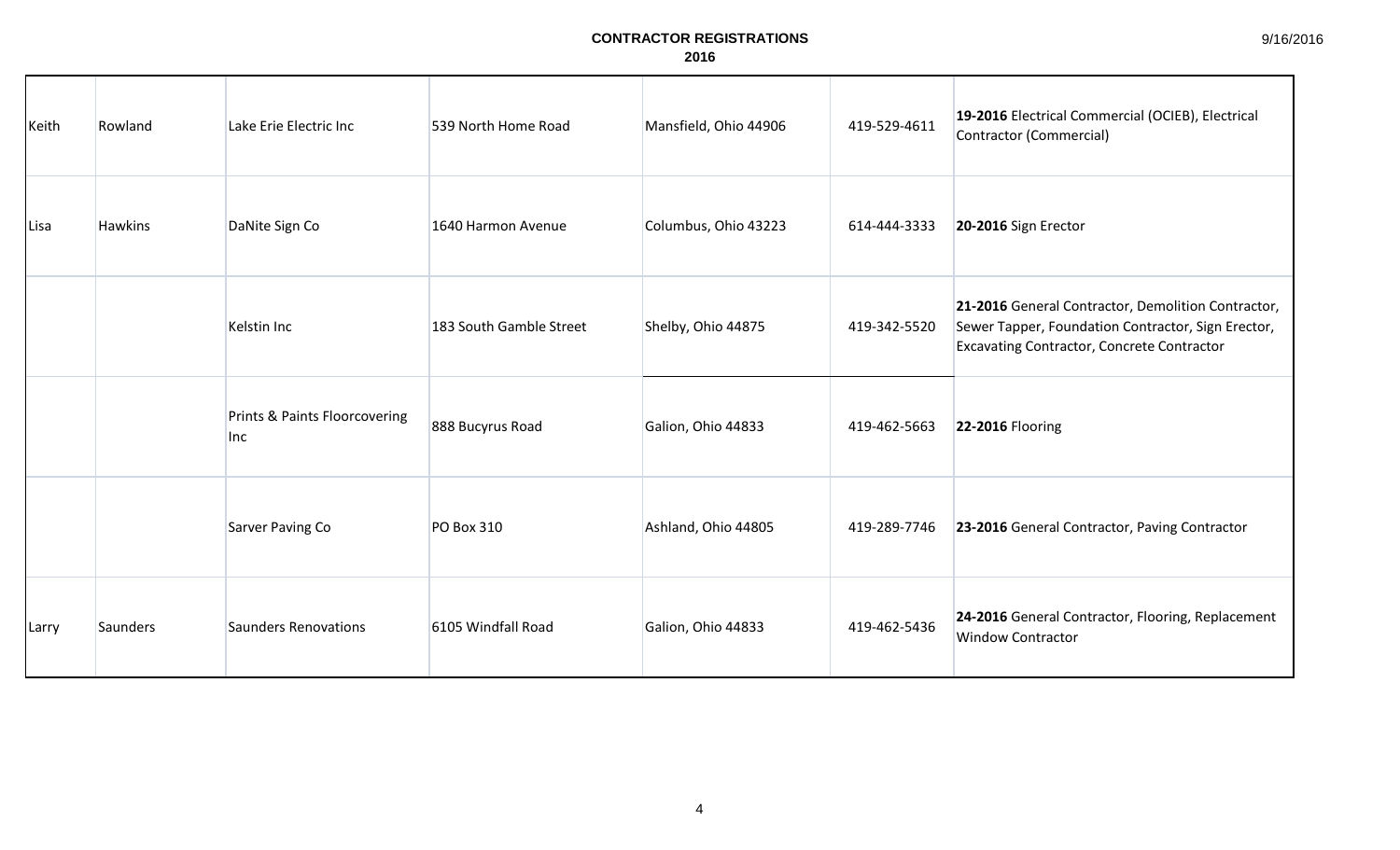| Keith | Rowland        | Lake Erie Electric Inc               | 539 North Home Road     | Mansfield, Ohio 44906 | 419-529-4611 | 19-2016 Electrical Commercial (OCIEB), Electrical<br>Contractor (Commercial)                                                                                  |
|-------|----------------|--------------------------------------|-------------------------|-----------------------|--------------|---------------------------------------------------------------------------------------------------------------------------------------------------------------|
| Lisa  | <b>Hawkins</b> | DaNite Sign Co                       | 1640 Harmon Avenue      | Columbus, Ohio 43223  | 614-444-3333 | 20-2016 Sign Erector                                                                                                                                          |
|       |                | Kelstin Inc                          | 183 South Gamble Street | Shelby, Ohio 44875    | 419-342-5520 | 21-2016 General Contractor, Demolition Contractor,<br>Sewer Tapper, Foundation Contractor, Sign Erector,<br><b>Excavating Contractor, Concrete Contractor</b> |
|       |                | Prints & Paints Floorcovering<br>Inc | 888 Bucyrus Road        | Galion, Ohio 44833    | 419-462-5663 | <b>22-2016 Flooring</b>                                                                                                                                       |
|       |                | Sarver Paving Co                     | <b>PO Box 310</b>       | Ashland, Ohio 44805   | 419-289-7746 | 23-2016 General Contractor, Paving Contractor                                                                                                                 |
| Larry | Saunders       | <b>Saunders Renovations</b>          | 6105 Windfall Road      | Galion, Ohio 44833    | 419-462-5436 | 24-2016 General Contractor, Flooring, Replacement<br><b>Window Contractor</b>                                                                                 |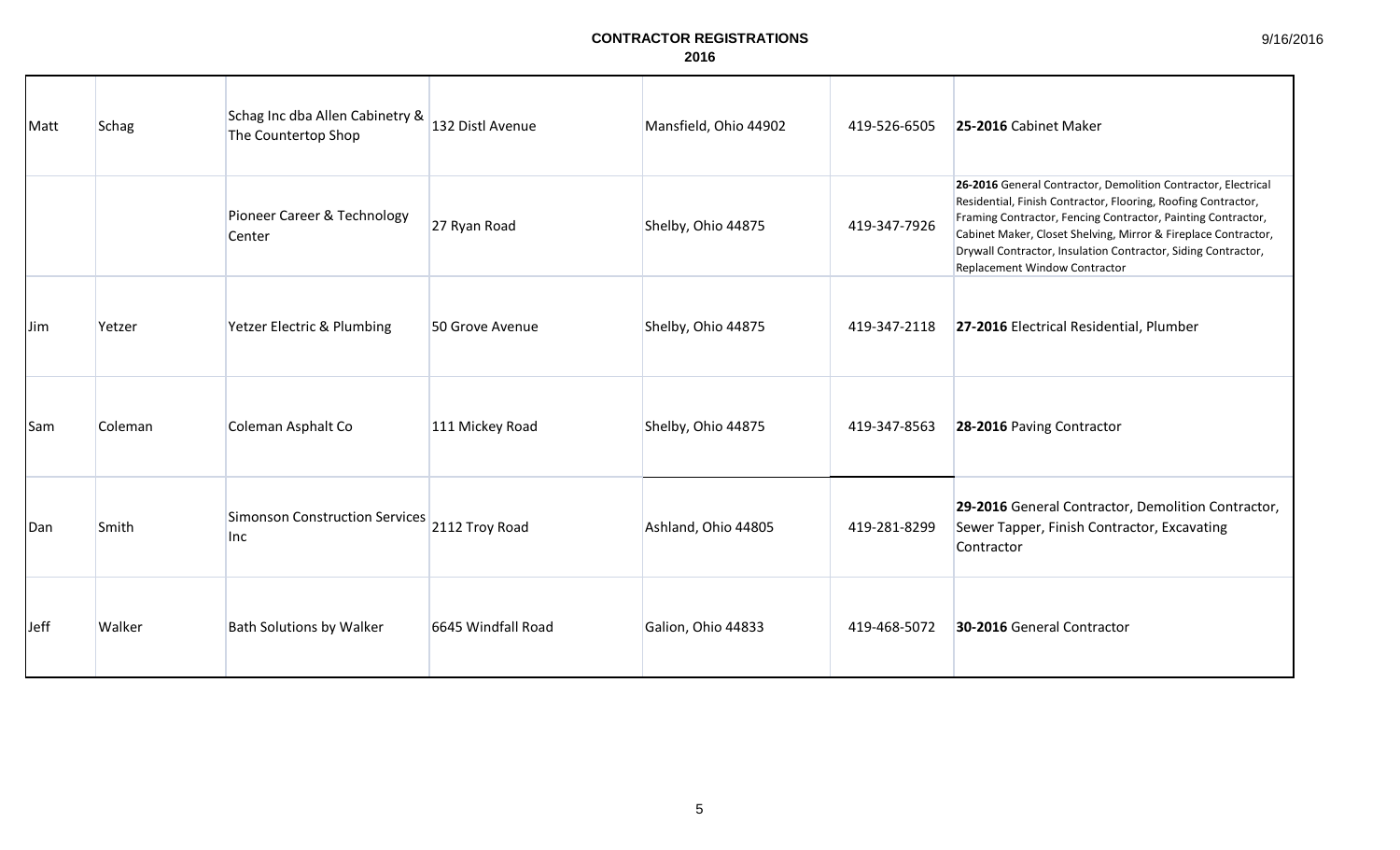| Matt       | <b>Schag</b> | Schag Inc dba Allen Cabinetry &<br>The Countertop Shop      | 132 Distl Avenue   | Mansfield, Ohio 44902 | 419-526-6505 | 25-2016 Cabinet Maker                                                                                                                                                                                                                                                                                                                                              |
|------------|--------------|-------------------------------------------------------------|--------------------|-----------------------|--------------|--------------------------------------------------------------------------------------------------------------------------------------------------------------------------------------------------------------------------------------------------------------------------------------------------------------------------------------------------------------------|
|            |              | Pioneer Career & Technology<br>Center                       | 27 Ryan Road       | Shelby, Ohio 44875    | 419-347-7926 | 26-2016 General Contractor, Demolition Contractor, Electrical<br>Residential, Finish Contractor, Flooring, Roofing Contractor,<br>Framing Contractor, Fencing Contractor, Painting Contractor,<br>Cabinet Maker, Closet Shelving, Mirror & Fireplace Contractor,<br>Drywall Contractor, Insulation Contractor, Siding Contractor,<br>Replacement Window Contractor |
| IJim       | Yetzer       | Yetzer Electric & Plumbing                                  | 50 Grove Avenue    | Shelby, Ohio 44875    | 419-347-2118 | 27-2016 Electrical Residential, Plumber                                                                                                                                                                                                                                                                                                                            |
| <b>Sam</b> | Coleman      | Coleman Asphalt Co                                          | 111 Mickey Road    | Shelby, Ohio 44875    | 419-347-8563 | 28-2016 Paving Contractor                                                                                                                                                                                                                                                                                                                                          |
| Dan        | Smith        | Simonson Construction Services 2112 Troy Road<br><b>Inc</b> |                    | Ashland, Ohio 44805   | 419-281-8299 | 29-2016 General Contractor, Demolition Contractor,<br>Sewer Tapper, Finish Contractor, Excavating<br>Contractor                                                                                                                                                                                                                                                    |
| Jeff       | Walker       | <b>Bath Solutions by Walker</b>                             | 6645 Windfall Road | Galion, Ohio 44833    | 419-468-5072 | 30-2016 General Contractor                                                                                                                                                                                                                                                                                                                                         |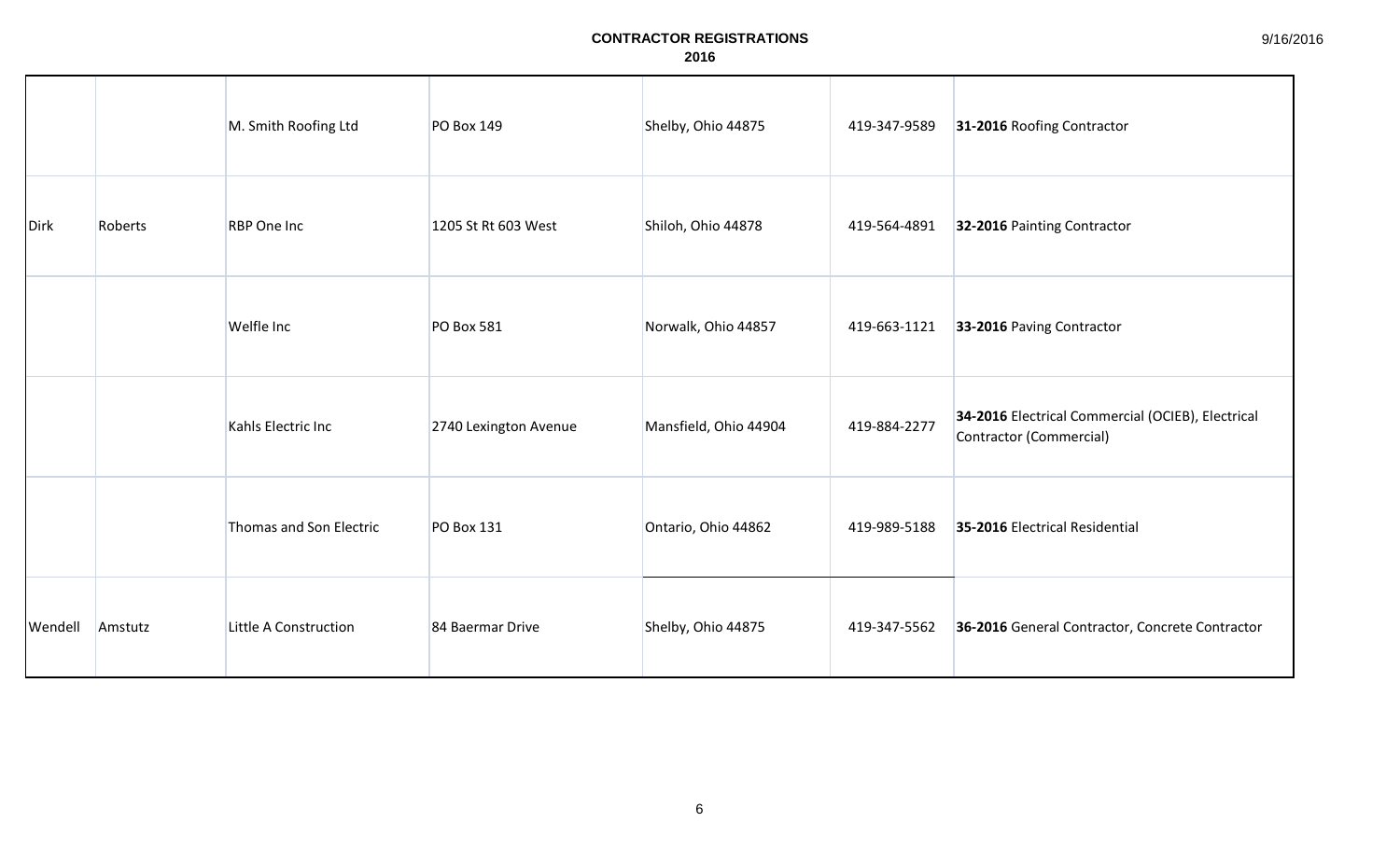|         |         | M. Smith Roofing Ltd    | <b>PO Box 149</b>     | Shelby, Ohio 44875    | 419-347-9589 | 31-2016 Roofing Contractor                                                   |
|---------|---------|-------------------------|-----------------------|-----------------------|--------------|------------------------------------------------------------------------------|
| Dirk    | Roberts | RBP One Inc             | 1205 St Rt 603 West   | Shiloh, Ohio 44878    | 419-564-4891 | 32-2016 Painting Contractor                                                  |
|         |         | Welfle Inc              | <b>PO Box 581</b>     | Norwalk, Ohio 44857   | 419-663-1121 | 33-2016 Paving Contractor                                                    |
|         |         | Kahls Electric Inc      | 2740 Lexington Avenue | Mansfield, Ohio 44904 | 419-884-2277 | 34-2016 Electrical Commercial (OCIEB), Electrical<br>Contractor (Commercial) |
|         |         | Thomas and Son Electric | <b>PO Box 131</b>     | Ontario, Ohio 44862   | 419-989-5188 | 35-2016 Electrical Residential                                               |
| Wendell | Amstutz | Little A Construction   | 84 Baermar Drive      | Shelby, Ohio 44875    | 419-347-5562 | 36-2016 General Contractor, Concrete Contractor                              |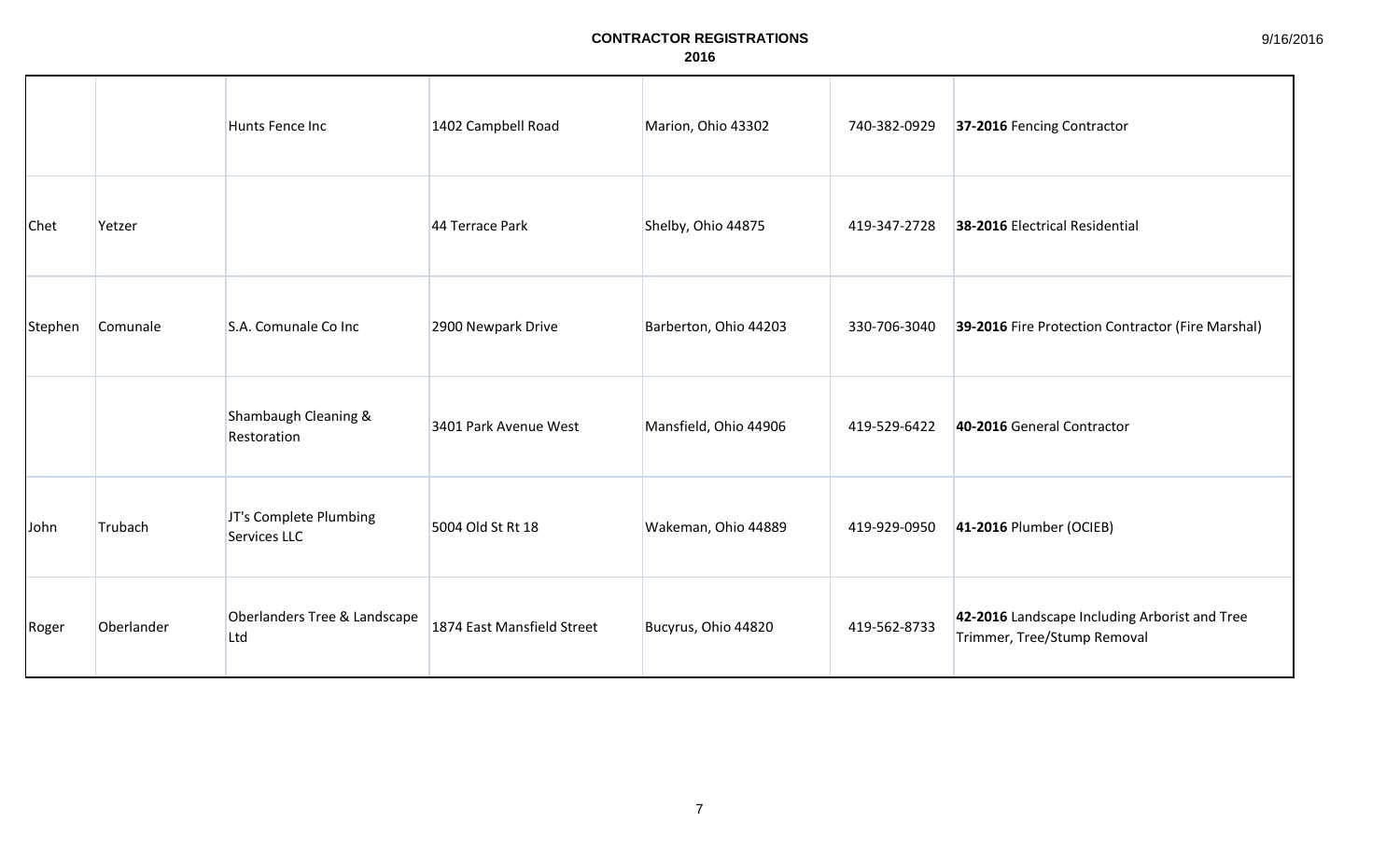|             |            | Hunts Fence Inc                        | 1402 Campbell Road         | Marion, Ohio 43302    | 740-382-0929 | 37-2016 Fencing Contractor                                                   |
|-------------|------------|----------------------------------------|----------------------------|-----------------------|--------------|------------------------------------------------------------------------------|
| <b>Chet</b> | Yetzer     |                                        | 44 Terrace Park            | Shelby, Ohio 44875    | 419-347-2728 | 38-2016 Electrical Residential                                               |
| Stephen     | Comunale   | S.A. Comunale Co Inc                   | 2900 Newpark Drive         | Barberton, Ohio 44203 | 330-706-3040 | 39-2016 Fire Protection Contractor (Fire Marshal)                            |
|             |            | Shambaugh Cleaning &<br>Restoration    | 3401 Park Avenue West      | Mansfield, Ohio 44906 | 419-529-6422 | 40-2016 General Contractor                                                   |
| John        | Trubach    | JT's Complete Plumbing<br>Services LLC | 5004 Old St Rt 18          | Wakeman, Ohio 44889   | 419-929-0950 | 41-2016 Plumber (OCIEB)                                                      |
| Roger       | Oberlander | Oberlanders Tree & Landscape<br>Ltd    | 1874 East Mansfield Street | Bucyrus, Ohio 44820   | 419-562-8733 | 42-2016 Landscape Including Arborist and Tree<br>Trimmer, Tree/Stump Removal |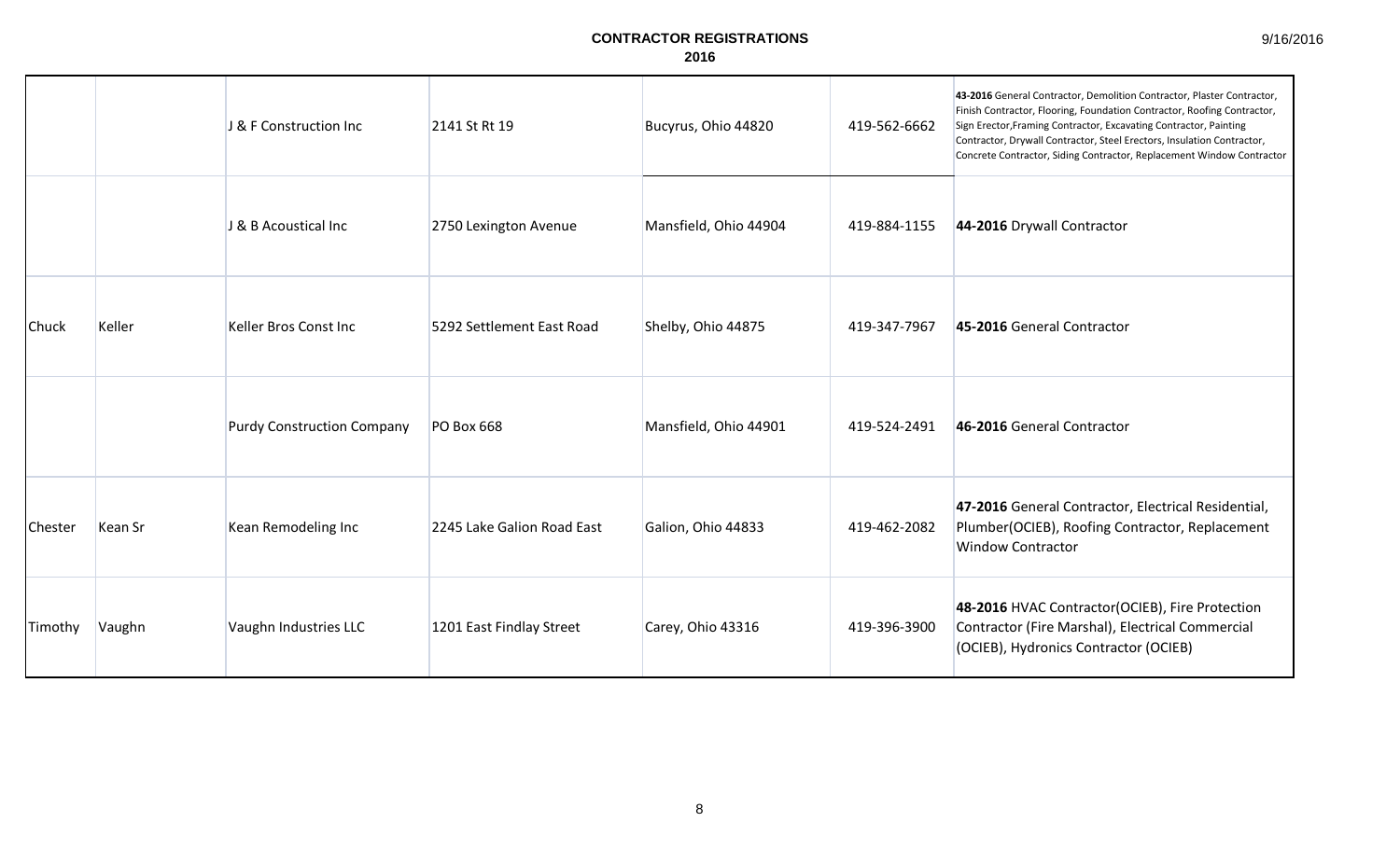|  | 9/16/2016 |  |
|--|-----------|--|
|--|-----------|--|

|                |         | J & F Construction Inc            | 2141 St Rt 19              | Bucyrus, Ohio 44820   | 419-562-6662 | 43-2016 General Contractor, Demolition Contractor, Plaster Contractor,<br>Finish Contractor, Flooring, Foundation Contractor, Roofing Contractor,<br>Sign Erector, Framing Contractor, Excavating Contractor, Painting<br>Contractor, Drywall Contractor, Steel Erectors, Insulation Contractor,<br>Concrete Contractor, Siding Contractor, Replacement Window Contractor |
|----------------|---------|-----------------------------------|----------------------------|-----------------------|--------------|---------------------------------------------------------------------------------------------------------------------------------------------------------------------------------------------------------------------------------------------------------------------------------------------------------------------------------------------------------------------------|
|                |         | J & B Acoustical Inc              | 2750 Lexington Avenue      | Mansfield, Ohio 44904 | 419-884-1155 | 44-2016 Drywall Contractor                                                                                                                                                                                                                                                                                                                                                |
| Chuck          | Keller  | Keller Bros Const Inc             | 5292 Settlement East Road  | Shelby, Ohio 44875    | 419-347-7967 | 45-2016 General Contractor                                                                                                                                                                                                                                                                                                                                                |
|                |         | <b>Purdy Construction Company</b> | <b>PO Box 668</b>          | Mansfield, Ohio 44901 | 419-524-2491 | 46-2016 General Contractor                                                                                                                                                                                                                                                                                                                                                |
| <b>Chester</b> | Kean Sr | Kean Remodeling Inc               | 2245 Lake Galion Road East | Galion, Ohio 44833    | 419-462-2082 | 47-2016 General Contractor, Electrical Residential,<br>Plumber(OCIEB), Roofing Contractor, Replacement<br><b>Window Contractor</b>                                                                                                                                                                                                                                        |
| Timothy        | Vaughn  | Vaughn Industries LLC             | 1201 East Findlay Street   | Carey, Ohio 43316     | 419-396-3900 | 48-2016 HVAC Contractor(OCIEB), Fire Protection<br>Contractor (Fire Marshal), Electrical Commercial<br>(OCIEB), Hydronics Contractor (OCIEB)                                                                                                                                                                                                                              |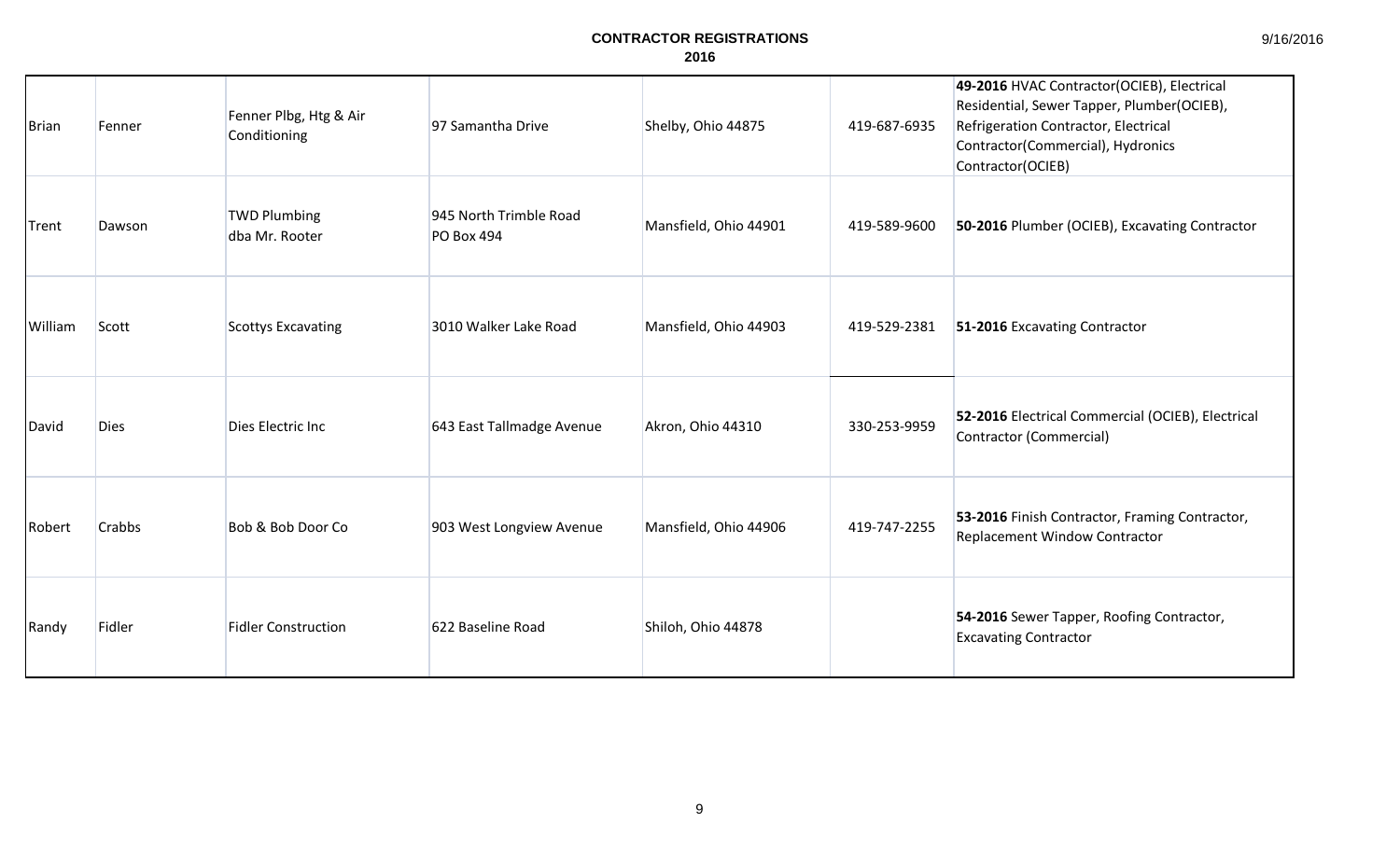9/16/2016

| <b>Brian</b> | Fenner        | Fenner Plbg, Htg & Air<br>Conditioning | 97 Samantha Drive                           | Shelby, Ohio 44875    | 419-687-6935 | 49-2016 HVAC Contractor(OCIEB), Electrical<br>Residential, Sewer Tapper, Plumber(OCIEB),<br>Refrigeration Contractor, Electrical<br>Contractor(Commercial), Hydronics<br>Contractor(OCIEB) |
|--------------|---------------|----------------------------------------|---------------------------------------------|-----------------------|--------------|--------------------------------------------------------------------------------------------------------------------------------------------------------------------------------------------|
| Trent        | Dawson        | <b>TWD Plumbing</b><br>dba Mr. Rooter  | 945 North Trimble Road<br><b>PO Box 494</b> | Mansfield, Ohio 44901 | 419-589-9600 | 50-2016 Plumber (OCIEB), Excavating Contractor                                                                                                                                             |
| William      | Scott         | <b>Scottys Excavating</b>              | 3010 Walker Lake Road                       | Mansfield, Ohio 44903 | 419-529-2381 | 51-2016 Excavating Contractor                                                                                                                                                              |
| David        | <b>Dies</b>   | Dies Electric Inc                      | 643 East Tallmadge Avenue                   | Akron, Ohio 44310     | 330-253-9959 | 52-2016 Electrical Commercial (OCIEB), Electrical<br>Contractor (Commercial)                                                                                                               |
| Robert       | <b>Crabbs</b> | Bob & Bob Door Co                      | 903 West Longview Avenue                    | Mansfield, Ohio 44906 | 419-747-2255 | 53-2016 Finish Contractor, Framing Contractor,<br>Replacement Window Contractor                                                                                                            |
| Randy        | Fidler        | <b>Fidler Construction</b>             | 622 Baseline Road                           | Shiloh, Ohio 44878    |              | 54-2016 Sewer Tapper, Roofing Contractor,<br><b>Excavating Contractor</b>                                                                                                                  |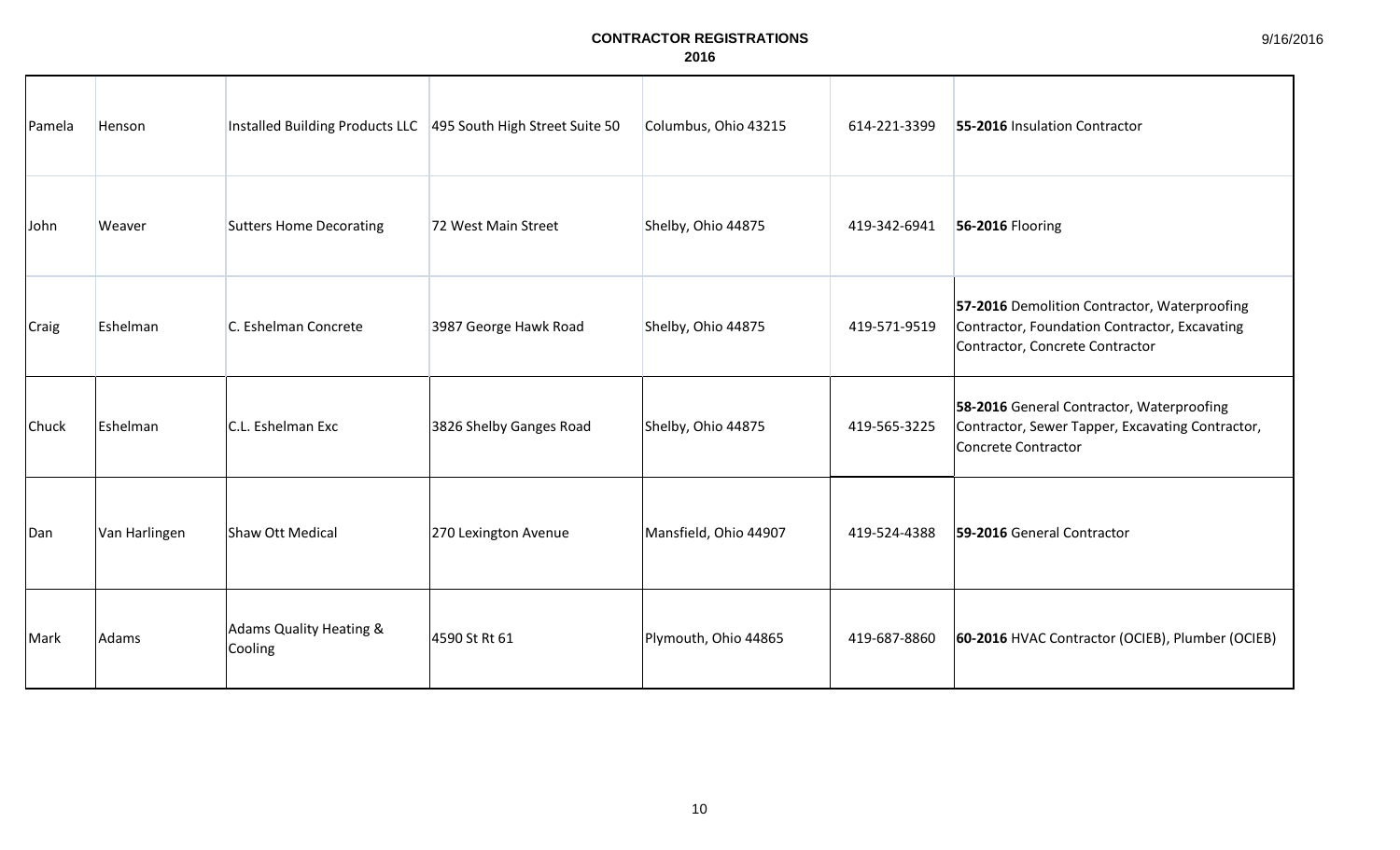| Pamela | Henson        | Installed Building Products LLC 495 South High Street Suite 50 |                         | Columbus, Ohio 43215  | 614-221-3399 | 55-2016 Insulation Contractor                                                                                                    |
|--------|---------------|----------------------------------------------------------------|-------------------------|-----------------------|--------------|----------------------------------------------------------------------------------------------------------------------------------|
| John   | Weaver        | <b>Sutters Home Decorating</b>                                 | 72 West Main Street     | Shelby, Ohio 44875    | 419-342-6941 | <b>56-2016 Flooring</b>                                                                                                          |
| Craig  | Eshelman      | C. Eshelman Concrete                                           | 3987 George Hawk Road   | Shelby, Ohio 44875    | 419-571-9519 | 57-2016 Demolition Contractor, Waterproofing<br>Contractor, Foundation Contractor, Excavating<br>Contractor, Concrete Contractor |
| Chuck  | Eshelman      | C.L. Eshelman Exc                                              | 3826 Shelby Ganges Road | Shelby, Ohio 44875    | 419-565-3225 | 58-2016 General Contractor, Waterproofing<br>Contractor, Sewer Tapper, Excavating Contractor,<br>Concrete Contractor             |
| Dan    | Van Harlingen | Shaw Ott Medical                                               | 270 Lexington Avenue    | Mansfield, Ohio 44907 | 419-524-4388 | 59-2016 General Contractor                                                                                                       |
| Mark   | Adams         | Adams Quality Heating &<br>Cooling                             | 4590 St Rt 61           | Plymouth, Ohio 44865  | 419-687-8860 | 60-2016 HVAC Contractor (OCIEB), Plumber (OCIEB)                                                                                 |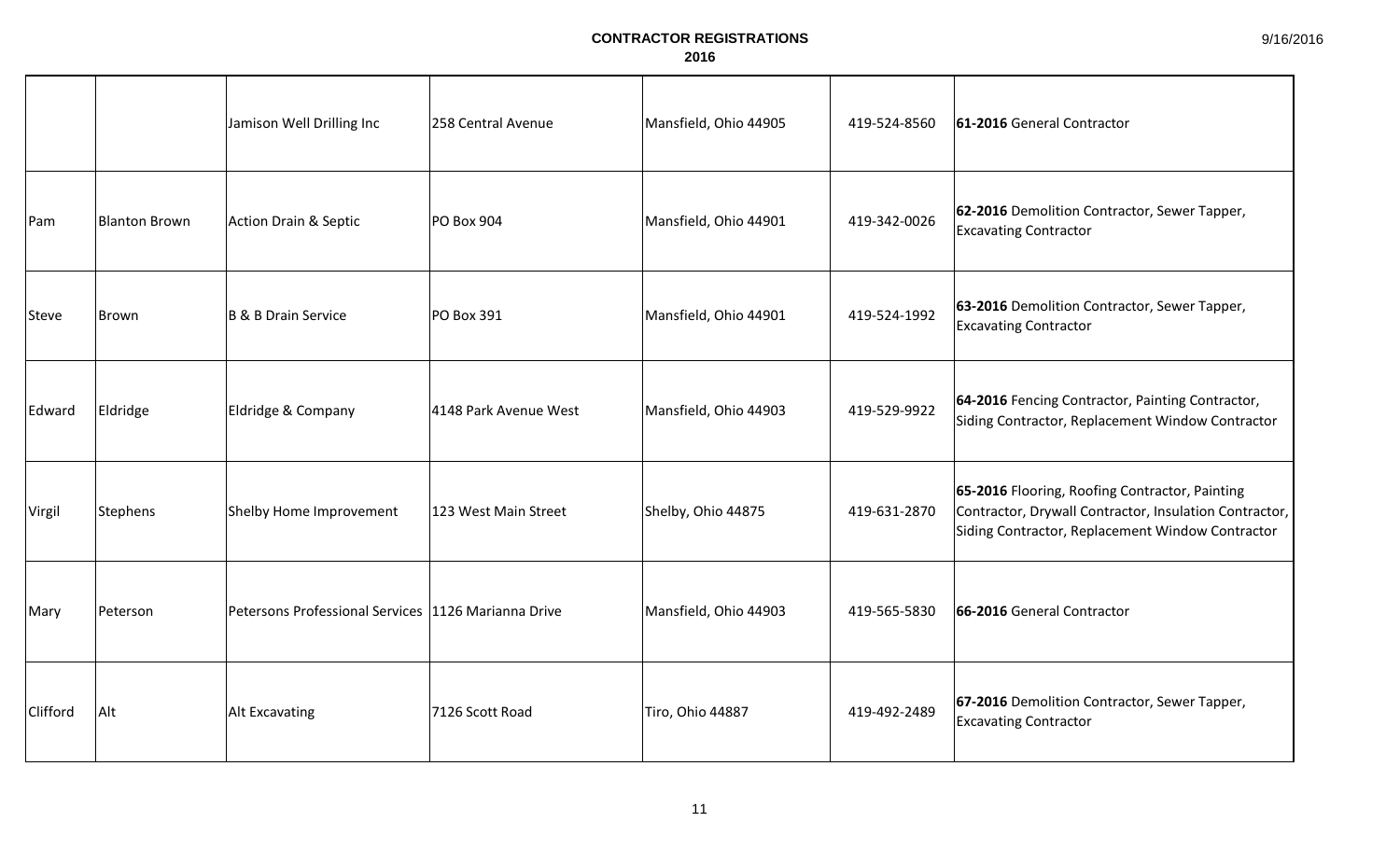|          |                      | Jamison Well Drilling Inc                             | 258 Central Avenue    | Mansfield, Ohio 44905 | 419-524-8560 | 61-2016 General Contractor                                                                                                                                   |
|----------|----------------------|-------------------------------------------------------|-----------------------|-----------------------|--------------|--------------------------------------------------------------------------------------------------------------------------------------------------------------|
| Pam      | <b>Blanton Brown</b> | Action Drain & Septic                                 | PO Box 904            | Mansfield, Ohio 44901 | 419-342-0026 | 62-2016 Demolition Contractor, Sewer Tapper,<br><b>Excavating Contractor</b>                                                                                 |
| Steve    | Brown                | B & B Drain Service                                   | PO Box 391            | Mansfield, Ohio 44901 | 419-524-1992 | 63-2016 Demolition Contractor, Sewer Tapper,<br><b>Excavating Contractor</b>                                                                                 |
| Edward   | Eldridge             | Eldridge & Company                                    | 4148 Park Avenue West | Mansfield, Ohio 44903 | 419-529-9922 | 64-2016 Fencing Contractor, Painting Contractor,<br>Siding Contractor, Replacement Window Contractor                                                         |
| Virgil   | Stephens             | Shelby Home Improvement                               | 123 West Main Street  | Shelby, Ohio 44875    | 419-631-2870 | 65-2016 Flooring, Roofing Contractor, Painting<br>Contractor, Drywall Contractor, Insulation Contractor,<br>Siding Contractor, Replacement Window Contractor |
| Mary     | Peterson             | Petersons Professional Services   1126 Marianna Drive |                       | Mansfield, Ohio 44903 | 419-565-5830 | 66-2016 General Contractor                                                                                                                                   |
| Clifford | Alt                  | <b>Alt Excavating</b>                                 | 7126 Scott Road       | Tiro, Ohio 44887      | 419-492-2489 | 67-2016 Demolition Contractor, Sewer Tapper,<br><b>Excavating Contractor</b>                                                                                 |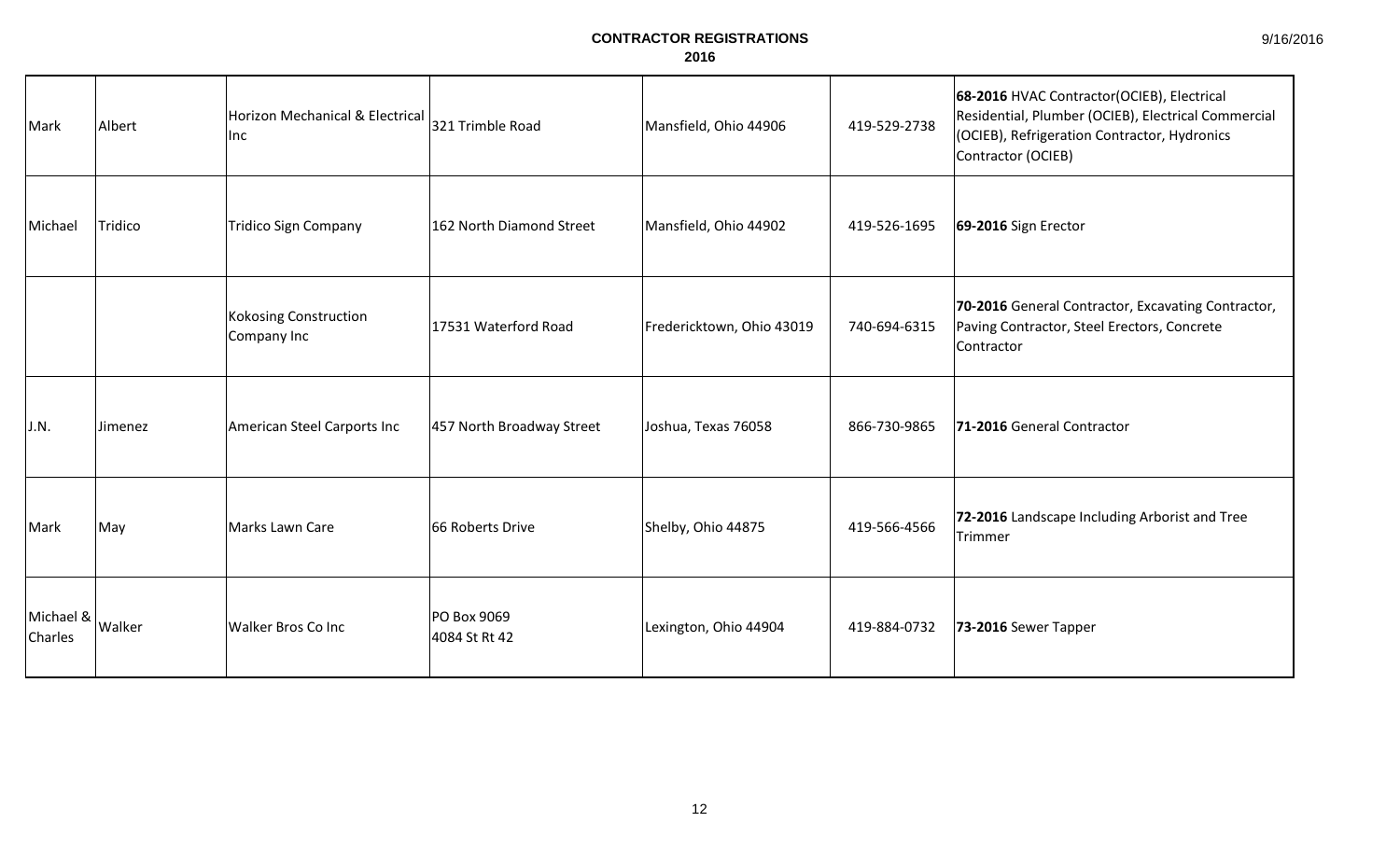| Mark                        | Albert  | Horizon Mechanical & Electrical 321 Trimble Road<br>Inc |                                     | Mansfield, Ohio 44906     | 419-529-2738 | 68-2016 HVAC Contractor(OCIEB), Electrical<br>Residential, Plumber (OCIEB), Electrical Commercial<br>(OCIEB), Refrigeration Contractor, Hydronics<br>Contractor (OCIEB) |
|-----------------------------|---------|---------------------------------------------------------|-------------------------------------|---------------------------|--------------|-------------------------------------------------------------------------------------------------------------------------------------------------------------------------|
| Michael                     | Tridico | <b>Tridico Sign Company</b>                             | 162 North Diamond Street            | Mansfield, Ohio 44902     | 419-526-1695 | 69-2016 Sign Erector                                                                                                                                                    |
|                             |         | <b>Kokosing Construction</b><br>Company Inc             | 17531 Waterford Road                | Fredericktown, Ohio 43019 | 740-694-6315 | 70-2016 General Contractor, Excavating Contractor,<br>Paving Contractor, Steel Erectors, Concrete<br>Contractor                                                         |
| J.N.                        | Jimenez | American Steel Carports Inc                             | 457 North Broadway Street           | Joshua, Texas 76058       | 866-730-9865 | 71-2016 General Contractor                                                                                                                                              |
| Mark                        | May     | Marks Lawn Care                                         | 66 Roberts Drive                    | Shelby, Ohio 44875        | 419-566-4566 | 72-2016 Landscape Including Arborist and Tree<br> Trimmer                                                                                                               |
| Michael &<br><b>Charles</b> | Walker  | Walker Bros Co Inc                                      | <b>PO Box 9069</b><br>4084 St Rt 42 | Lexington, Ohio 44904     | 419-884-0732 | 73-2016 Sewer Tapper                                                                                                                                                    |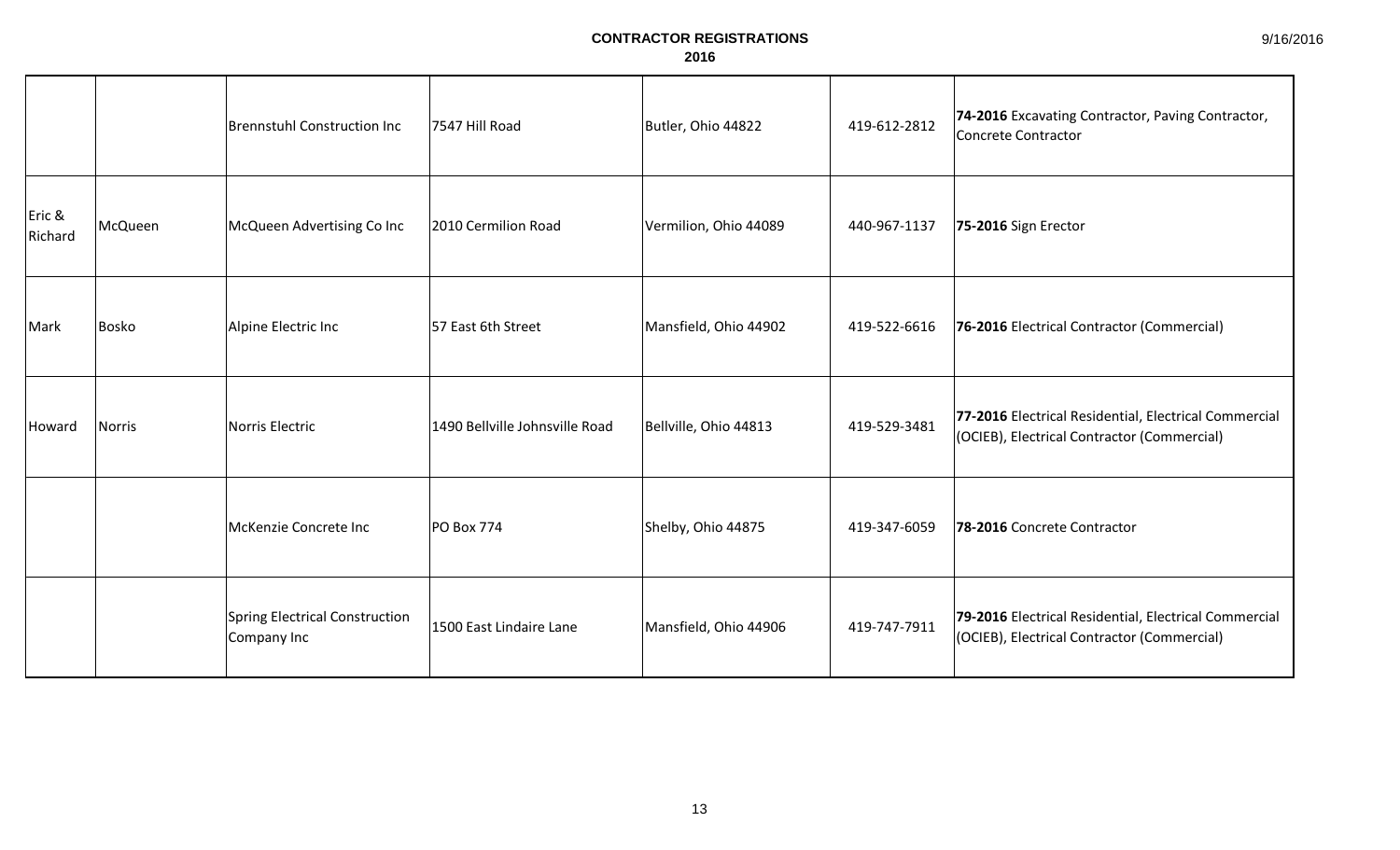|                   |         | Brennstuhl Construction Inc                   | 7547 Hill Road                 | Butler, Ohio 44822    | 419-612-2812 | 74-2016 Excavating Contractor, Paving Contractor,<br>Concrete Contractor                             |
|-------------------|---------|-----------------------------------------------|--------------------------------|-----------------------|--------------|------------------------------------------------------------------------------------------------------|
| Eric &<br>Richard | McQueen | McQueen Advertising Co Inc                    | 2010 Cermilion Road            | Vermilion, Ohio 44089 | 440-967-1137 | 75-2016 Sign Erector                                                                                 |
| Mark              | Bosko   | Alpine Electric Inc                           | 57 East 6th Street             | Mansfield, Ohio 44902 | 419-522-6616 | 76-2016 Electrical Contractor (Commercial)                                                           |
| Howard            | Norris  | Norris Electric                               | 1490 Bellville Johnsville Road | Bellville, Ohio 44813 | 419-529-3481 | 77-2016 Electrical Residential, Electrical Commercial<br>(OCIEB), Electrical Contractor (Commercial) |
|                   |         | McKenzie Concrete Inc                         | PO Box 774                     | Shelby, Ohio 44875    | 419-347-6059 | 78-2016 Concrete Contractor                                                                          |
|                   |         | Spring Electrical Construction<br>Company Inc | 1500 East Lindaire Lane        | Mansfield, Ohio 44906 | 419-747-7911 | 79-2016 Electrical Residential, Electrical Commercial<br>(OCIEB), Electrical Contractor (Commercial) |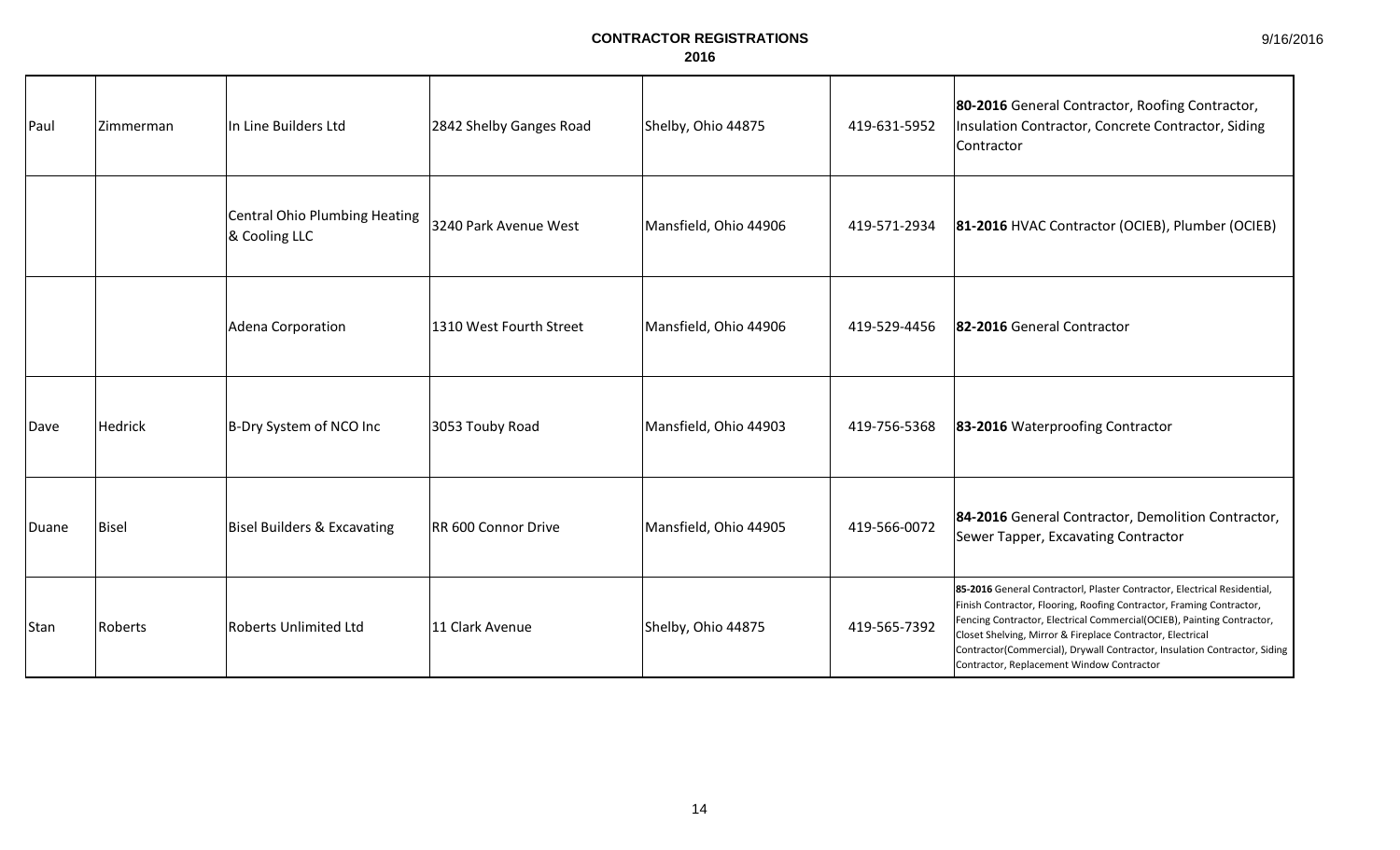| Paul  | Zimmerman    | In Line Builders Ltd                           | 2842 Shelby Ganges Road | Shelby, Ohio 44875    | 419-631-5952 | 80-2016 General Contractor, Roofing Contractor,<br>Insulation Contractor, Concrete Contractor, Siding<br>Contractor                                                                                                                                                                                                                                                                                                |
|-------|--------------|------------------------------------------------|-------------------------|-----------------------|--------------|--------------------------------------------------------------------------------------------------------------------------------------------------------------------------------------------------------------------------------------------------------------------------------------------------------------------------------------------------------------------------------------------------------------------|
|       |              | Central Ohio Plumbing Heating<br>& Cooling LLC | 3240 Park Avenue West   | Mansfield, Ohio 44906 | 419-571-2934 | 81-2016 HVAC Contractor (OCIEB), Plumber (OCIEB)                                                                                                                                                                                                                                                                                                                                                                   |
|       |              | Adena Corporation                              | 1310 West Fourth Street | Mansfield, Ohio 44906 | 419-529-4456 | 82-2016 General Contractor                                                                                                                                                                                                                                                                                                                                                                                         |
| Dave  | Hedrick      | B-Dry System of NCO Inc                        | 3053 Touby Road         | Mansfield, Ohio 44903 | 419-756-5368 | 83-2016 Waterproofing Contractor                                                                                                                                                                                                                                                                                                                                                                                   |
| Duane | <b>Bisel</b> | <b>Bisel Builders &amp; Excavating</b>         | RR 600 Connor Drive     | Mansfield, Ohio 44905 | 419-566-0072 | 84-2016 General Contractor, Demolition Contractor,<br>Sewer Tapper, Excavating Contractor                                                                                                                                                                                                                                                                                                                          |
| Stan  | Roberts      | <b>Roberts Unlimited Ltd</b>                   | 11 Clark Avenue         | Shelby, Ohio 44875    | 419-565-7392 | 85-2016 General Contractorl, Plaster Contractor, Electrical Residential,<br>Finish Contractor, Flooring, Roofing Contractor, Framing Contractor,<br>Fencing Contractor, Electrical Commercial(OCIEB), Painting Contractor,<br>Closet Shelving, Mirror & Fireplace Contractor, Electrical<br>Contractor(Commercial), Drywall Contractor, Insulation Contractor, Siding<br>Contractor, Replacement Window Contractor |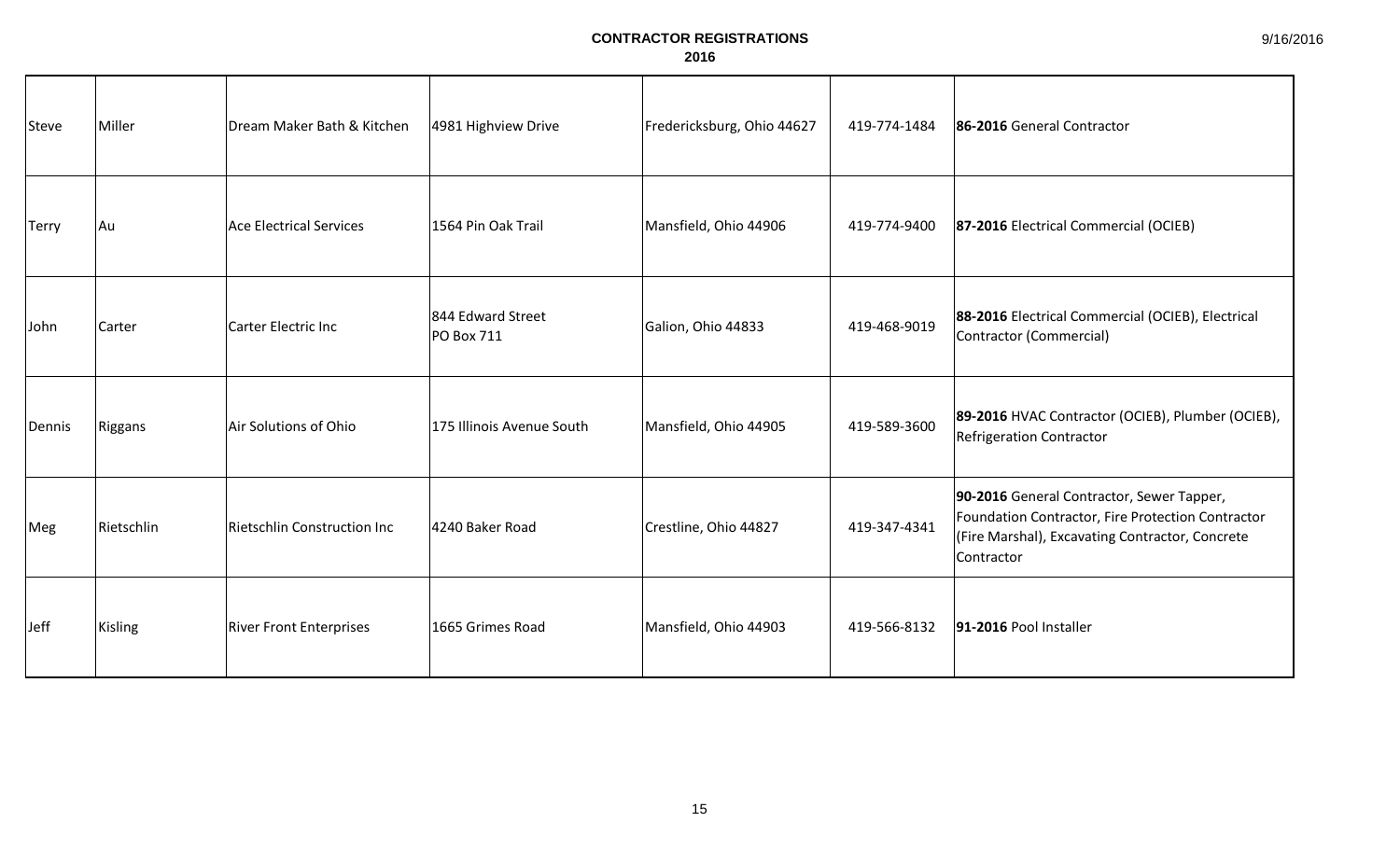| Steve        | Miller     | Dream Maker Bath & Kitchen         | 4981 Highview Drive             | Fredericksburg, Ohio 44627 | 419-774-1484 | 86-2016 General Contractor                                                                                                                                      |
|--------------|------------|------------------------------------|---------------------------------|----------------------------|--------------|-----------------------------------------------------------------------------------------------------------------------------------------------------------------|
| <b>Terry</b> | Au         | <b>Ace Electrical Services</b>     | 1564 Pin Oak Trail              | Mansfield, Ohio 44906      | 419-774-9400 | 87-2016 Electrical Commercial (OCIEB)                                                                                                                           |
| John         | Carter     | Carter Electric Inc                | 844 Edward Street<br>PO Box 711 | Galion, Ohio 44833         | 419-468-9019 | 88-2016 Electrical Commercial (OCIEB), Electrical<br>Contractor (Commercial)                                                                                    |
| Dennis       | Riggans    | Air Solutions of Ohio              | 175 Illinois Avenue South       | Mansfield, Ohio 44905      | 419-589-3600 | 89-2016 HVAC Contractor (OCIEB), Plumber (OCIEB),<br>Refrigeration Contractor                                                                                   |
| Meg          | Rietschlin | <b>Rietschlin Construction Inc</b> | 4240 Baker Road                 | Crestline, Ohio 44827      | 419-347-4341 | 90-2016 General Contractor, Sewer Tapper,<br>Foundation Contractor, Fire Protection Contractor<br>(Fire Marshal), Excavating Contractor, Concrete<br>Contractor |
| Jeff         | Kisling    | <b>River Front Enterprises</b>     | 1665 Grimes Road                | Mansfield, Ohio 44903      | 419-566-8132 | 91-2016 Pool Installer                                                                                                                                          |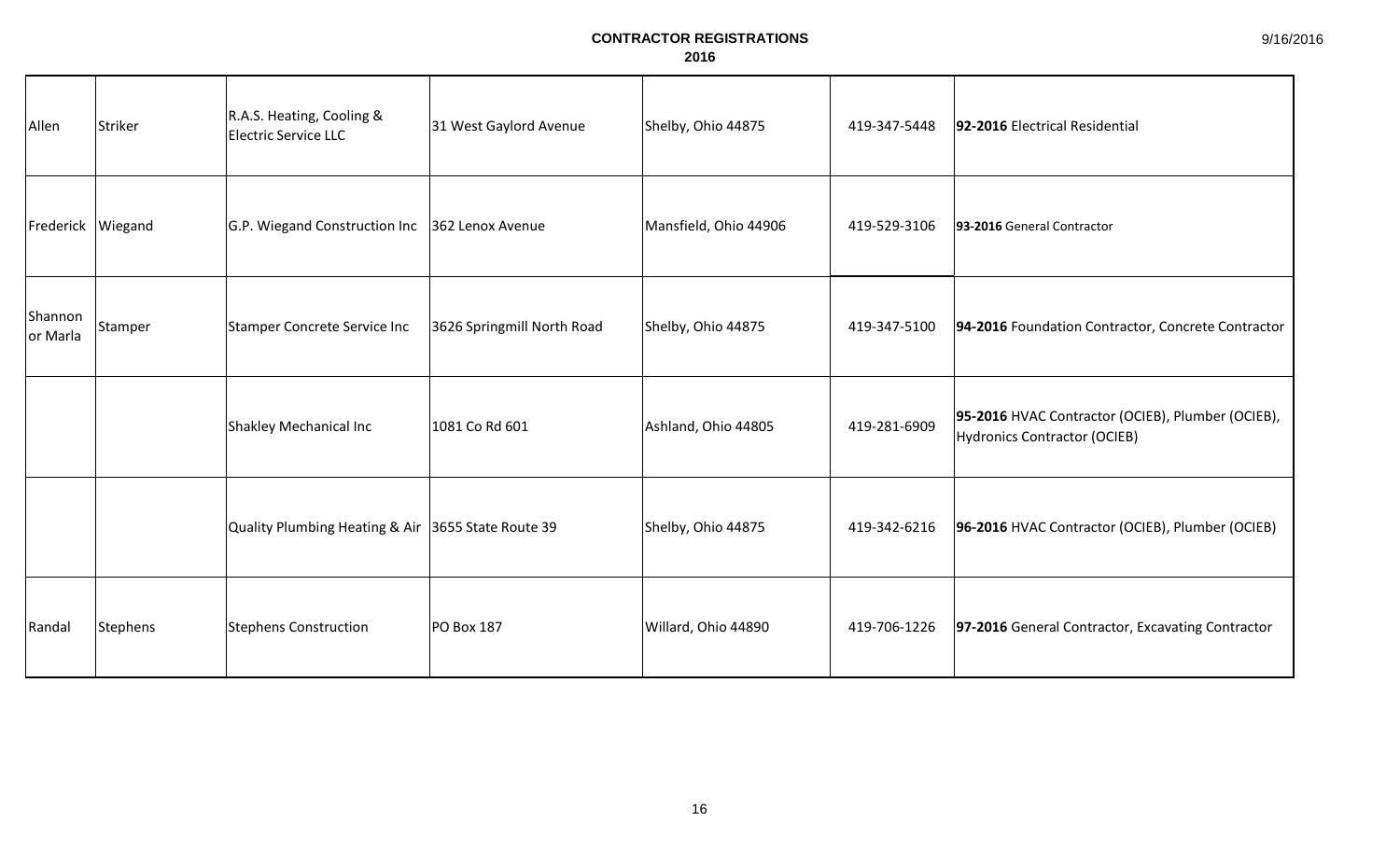| Allen               | Striker  | R.A.S. Heating, Cooling &<br><b>Electric Service LLC</b> | 31 West Gaylord Avenue     | Shelby, Ohio 44875    | 419-347-5448 | 92-2016 Electrical Residential                                                    |
|---------------------|----------|----------------------------------------------------------|----------------------------|-----------------------|--------------|-----------------------------------------------------------------------------------|
| Frederick           | Wiegand  | G.P. Wiegand Construction Inc 362 Lenox Avenue           |                            | Mansfield, Ohio 44906 | 419-529-3106 | 93-2016 General Contractor                                                        |
| Shannon<br>or Marla | Stamper  | Stamper Concrete Service Inc                             | 3626 Springmill North Road | Shelby, Ohio 44875    | 419-347-5100 | 94-2016 Foundation Contractor, Concrete Contractor                                |
|                     |          | Shakley Mechanical Inc                                   | 1081 Co Rd 601             | Ashland, Ohio 44805   | 419-281-6909 | 95-2016 HVAC Contractor (OCIEB), Plumber (OCIEB),<br>Hydronics Contractor (OCIEB) |
|                     |          | Quality Plumbing Heating & Air 3655 State Route 39       |                            | Shelby, Ohio 44875    | 419-342-6216 | 96-2016 HVAC Contractor (OCIEB), Plumber (OCIEB)                                  |
| Randal              | Stephens | <b>Stephens Construction</b>                             | PO Box 187                 | Willard, Ohio 44890   | 419-706-1226 | 97-2016 General Contractor, Excavating Contractor                                 |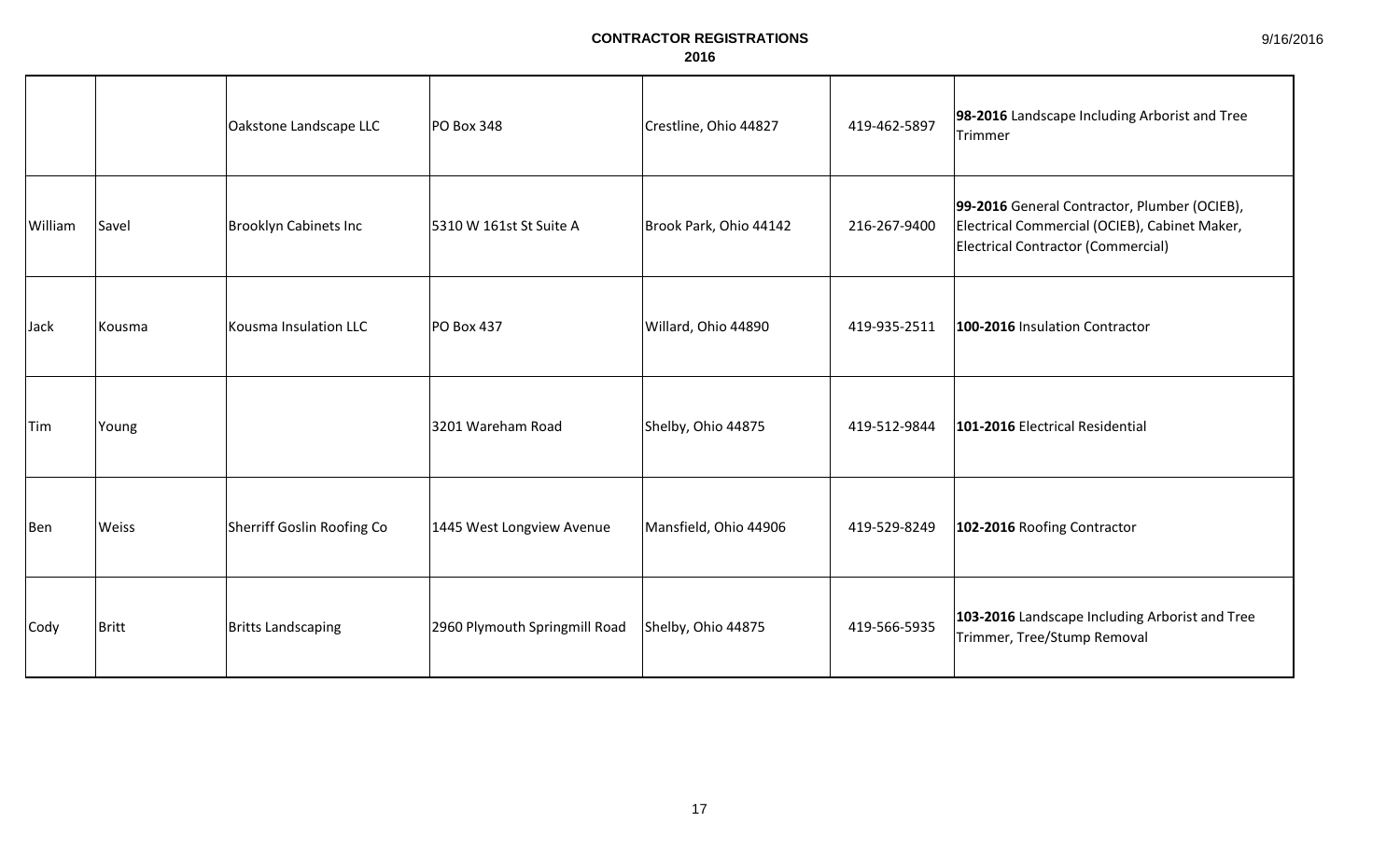|            |        | Oakstone Landscape LLC       | PO Box 348                    | Crestline, Ohio 44827  | 419-462-5897 | 98-2016 Landscape Including Arborist and Tree<br>Trimmer                                                                            |
|------------|--------|------------------------------|-------------------------------|------------------------|--------------|-------------------------------------------------------------------------------------------------------------------------------------|
| William    | Savel  | <b>Brooklyn Cabinets Inc</b> | 5310 W 161st St Suite A       | Brook Park, Ohio 44142 | 216-267-9400 | 99-2016 General Contractor, Plumber (OCIEB),<br>Electrical Commercial (OCIEB), Cabinet Maker,<br>Electrical Contractor (Commercial) |
| Jack       | Kousma | Kousma Insulation LLC        | <b>PO Box 437</b>             | Willard, Ohio 44890    | 419-935-2511 | 100-2016 Insulation Contractor                                                                                                      |
| <b>Tim</b> | Young  |                              | 3201 Wareham Road             | Shelby, Ohio 44875     | 419-512-9844 | 101-2016 Electrical Residential                                                                                                     |
| Ben        | Weiss  | Sherriff Goslin Roofing Co   | 1445 West Longview Avenue     | Mansfield, Ohio 44906  | 419-529-8249 | 102-2016 Roofing Contractor                                                                                                         |
| Cody       | Britt  | <b>Britts Landscaping</b>    | 2960 Plymouth Springmill Road | Shelby, Ohio 44875     | 419-566-5935 | 103-2016 Landscape Including Arborist and Tree<br>Trimmer, Tree/Stump Removal                                                       |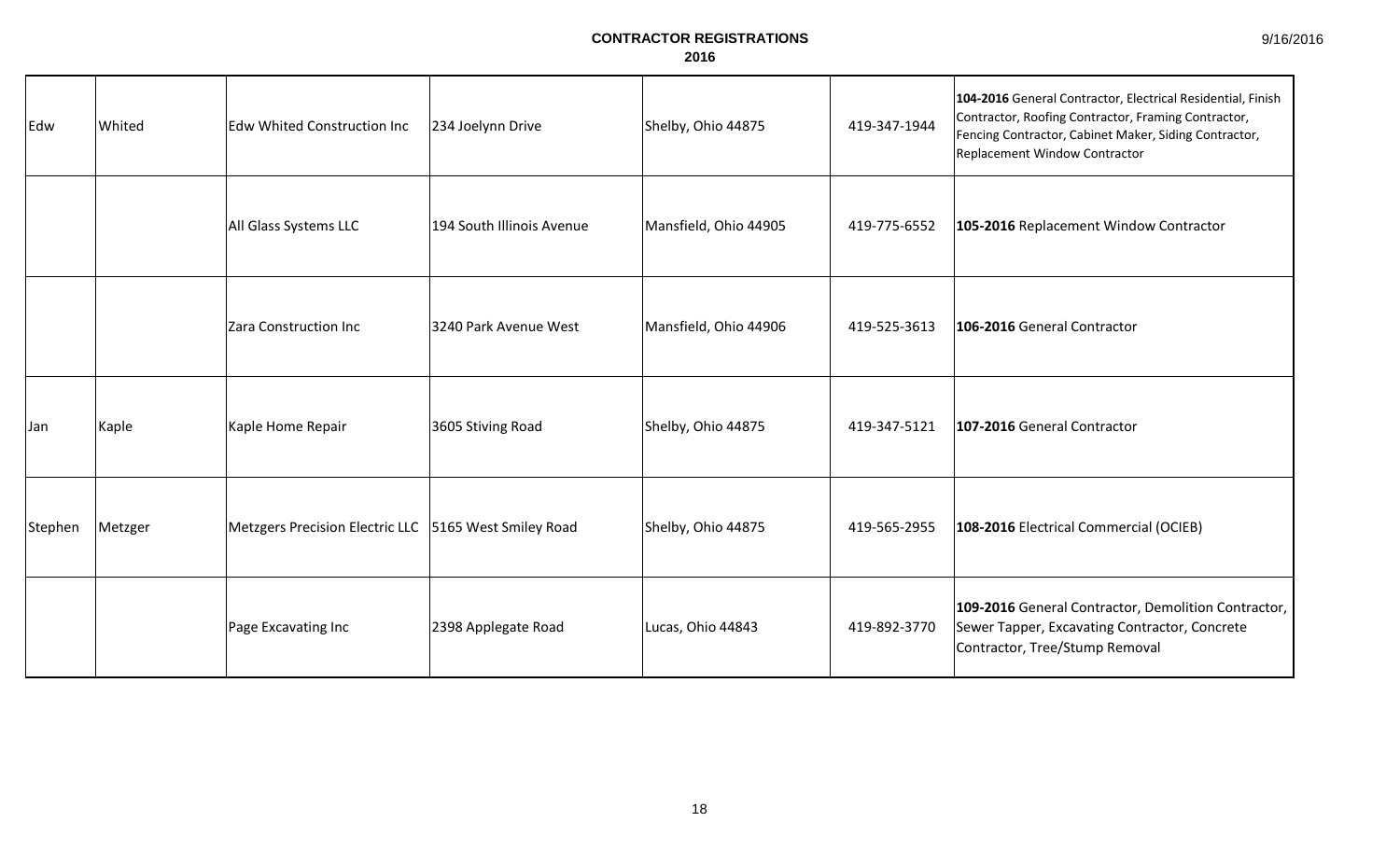| 9/16/2016 |
|-----------|
|-----------|

| Edw     | Whited  | <b>Edw Whited Construction Inc</b>                    | 234 Joelynn Drive         | Shelby, Ohio 44875    | 419-347-1944 | 104-2016 General Contractor, Electrical Residential, Finish<br>Contractor, Roofing Contractor, Framing Contractor,<br>Fencing Contractor, Cabinet Maker, Siding Contractor,<br>Replacement Window Contractor |
|---------|---------|-------------------------------------------------------|---------------------------|-----------------------|--------------|--------------------------------------------------------------------------------------------------------------------------------------------------------------------------------------------------------------|
|         |         | All Glass Systems LLC                                 | 194 South Illinois Avenue | Mansfield, Ohio 44905 | 419-775-6552 | 105-2016 Replacement Window Contractor                                                                                                                                                                       |
|         |         | Zara Construction Inc                                 | 3240 Park Avenue West     | Mansfield, Ohio 44906 | 419-525-3613 | 106-2016 General Contractor                                                                                                                                                                                  |
| Jan     | Kaple   | Kaple Home Repair                                     | 3605 Stiving Road         | Shelby, Ohio 44875    | 419-347-5121 | 107-2016 General Contractor                                                                                                                                                                                  |
| Stephen | Metzger | Metzgers Precision Electric LLC 5165 West Smiley Road |                           | Shelby, Ohio 44875    | 419-565-2955 | 108-2016 Electrical Commercial (OCIEB)                                                                                                                                                                       |
|         |         | Page Excavating Inc                                   | 2398 Applegate Road       | Lucas, Ohio 44843     | 419-892-3770 | 109-2016 General Contractor, Demolition Contractor,<br>Sewer Tapper, Excavating Contractor, Concrete<br>Contractor, Tree/Stump Removal                                                                       |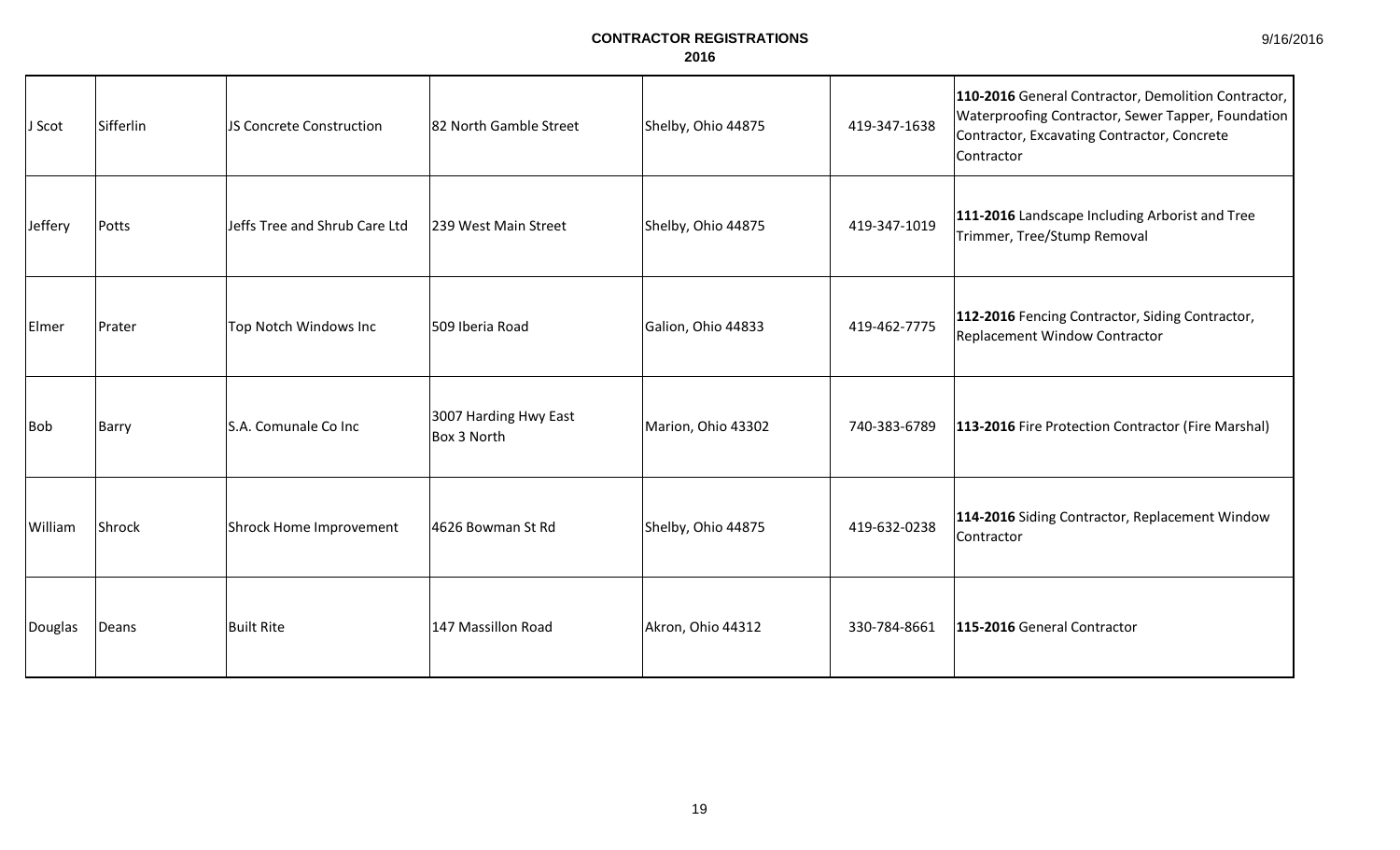|  | 9/16/2016 |  |
|--|-----------|--|
|--|-----------|--|

| J Scot         | Sifferlin | JS Concrete Construction      | 82 North Gamble Street               | Shelby, Ohio 44875 | 419-347-1638 | 110-2016 General Contractor, Demolition Contractor,<br>Waterproofing Contractor, Sewer Tapper, Foundation<br>Contractor, Excavating Contractor, Concrete<br>Contractor |
|----------------|-----------|-------------------------------|--------------------------------------|--------------------|--------------|------------------------------------------------------------------------------------------------------------------------------------------------------------------------|
| Jeffery        | Potts     | Jeffs Tree and Shrub Care Ltd | 239 West Main Street                 | Shelby, Ohio 44875 | 419-347-1019 | 111-2016 Landscape Including Arborist and Tree<br>Trimmer, Tree/Stump Removal                                                                                          |
| Elmer          | Prater    | Top Notch Windows Inc         | 509 Iberia Road                      | Galion, Ohio 44833 | 419-462-7775 | 112-2016 Fencing Contractor, Siding Contractor,<br>Replacement Window Contractor                                                                                       |
| <b>Bob</b>     | Barry     | S.A. Comunale Co Inc          | 3007 Harding Hwy East<br>Box 3 North | Marion, Ohio 43302 | 740-383-6789 | 113-2016 Fire Protection Contractor (Fire Marshal)                                                                                                                     |
| William        | Shrock    | Shrock Home Improvement       | 4626 Bowman St Rd                    | Shelby, Ohio 44875 | 419-632-0238 | 114-2016 Siding Contractor, Replacement Window<br>Contractor                                                                                                           |
| <b>Douglas</b> | Deans     | <b>Built Rite</b>             | 147 Massillon Road                   | Akron, Ohio 44312  | 330-784-8661 | 115-2016 General Contractor                                                                                                                                            |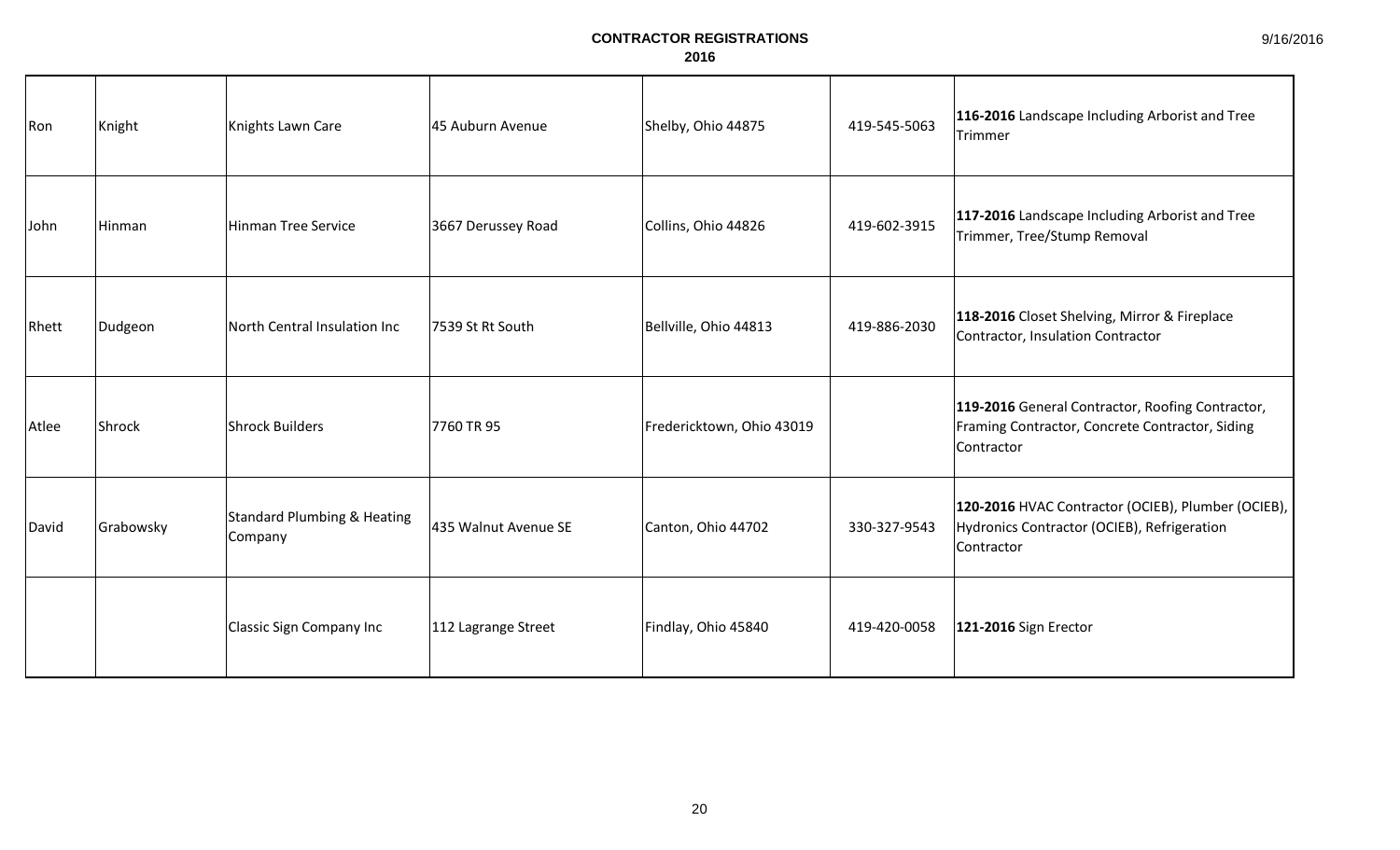| Ron   | Knight    | Knights Lawn Care                                 | 45 Auburn Avenue     | Shelby, Ohio 44875        | 419-545-5063 | 116-2016 Landscape Including Arborist and Tree<br>Trimmer                                                         |
|-------|-----------|---------------------------------------------------|----------------------|---------------------------|--------------|-------------------------------------------------------------------------------------------------------------------|
| John  | Hinman    | Hinman Tree Service                               | 3667 Derussey Road   | Collins, Ohio 44826       | 419-602-3915 | 117-2016 Landscape Including Arborist and Tree<br>Trimmer, Tree/Stump Removal                                     |
| Rhett | Dudgeon   | North Central Insulation Inc                      | 7539 St Rt South     | Bellville, Ohio 44813     | 419-886-2030 | 118-2016 Closet Shelving, Mirror & Fireplace<br>Contractor, Insulation Contractor                                 |
| Atlee | Shrock    | <b>Shrock Builders</b>                            | 7760 TR 95           | Fredericktown, Ohio 43019 |              | 119-2016 General Contractor, Roofing Contractor,<br>Framing Contractor, Concrete Contractor, Siding<br>Contractor |
| David | Grabowsky | <b>Standard Plumbing &amp; Heating</b><br>Company | 435 Walnut Avenue SE | Canton, Ohio 44702        | 330-327-9543 | 120-2016 HVAC Contractor (OCIEB), Plumber (OCIEB),<br>Hydronics Contractor (OCIEB), Refrigeration<br>Contractor   |
|       |           | <b>Classic Sign Company Inc</b>                   | 112 Lagrange Street  | Findlay, Ohio 45840       | 419-420-0058 | 121-2016 Sign Erector                                                                                             |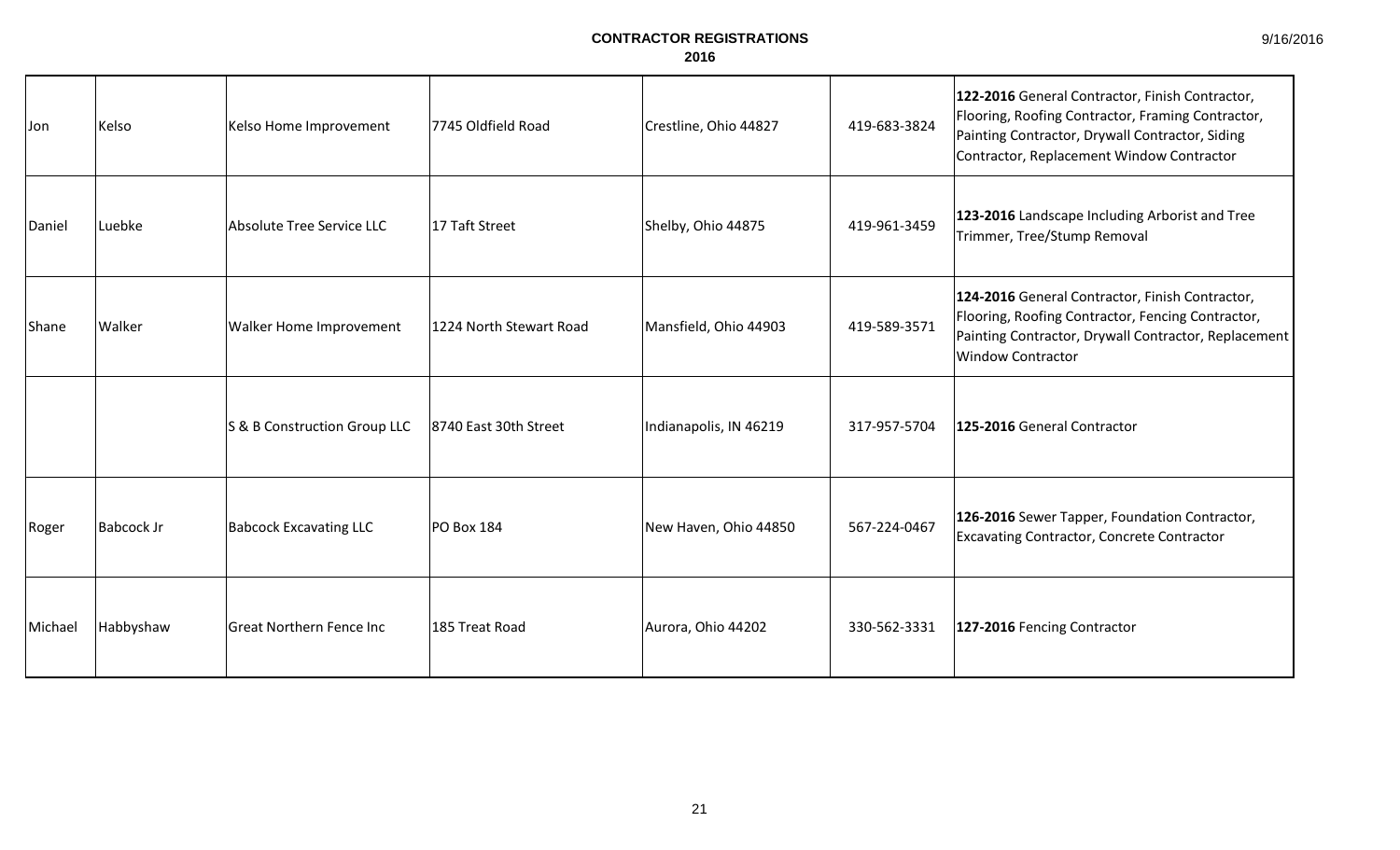| 9/16/2016 |
|-----------|
|-----------|

| Jon     | Kelso             | Kelso Home Improvement        | 7745 Oldfield Road      | Crestline, Ohio 44827  | 419-683-3824 | 122-2016 General Contractor, Finish Contractor,<br>Flooring, Roofing Contractor, Framing Contractor,<br>Painting Contractor, Drywall Contractor, Siding<br>Contractor, Replacement Window Contractor |
|---------|-------------------|-------------------------------|-------------------------|------------------------|--------------|------------------------------------------------------------------------------------------------------------------------------------------------------------------------------------------------------|
| Daniel  | Luebke            | Absolute Tree Service LLC     | 17 Taft Street          | Shelby, Ohio 44875     | 419-961-3459 | 123-2016 Landscape Including Arborist and Tree<br>Trimmer, Tree/Stump Removal                                                                                                                        |
| Shane   | Walker            | Walker Home Improvement       | 1224 North Stewart Road | Mansfield, Ohio 44903  | 419-589-3571 | 124-2016 General Contractor, Finish Contractor,<br>Flooring, Roofing Contractor, Fencing Contractor,<br>Painting Contractor, Drywall Contractor, Replacement<br><b>Window Contractor</b>             |
|         |                   | S & B Construction Group LLC  | 8740 East 30th Street   | Indianapolis, IN 46219 | 317-957-5704 | 125-2016 General Contractor                                                                                                                                                                          |
| Roger   | <b>Babcock Jr</b> | <b>Babcock Excavating LLC</b> | <b>PO Box 184</b>       | New Haven, Ohio 44850  | 567-224-0467 | 126-2016 Sewer Tapper, Foundation Contractor,<br>Excavating Contractor, Concrete Contractor                                                                                                          |
| Michael | Habbyshaw         | Great Northern Fence Inc      | 185 Treat Road          | Aurora, Ohio 44202     | 330-562-3331 | 127-2016 Fencing Contractor                                                                                                                                                                          |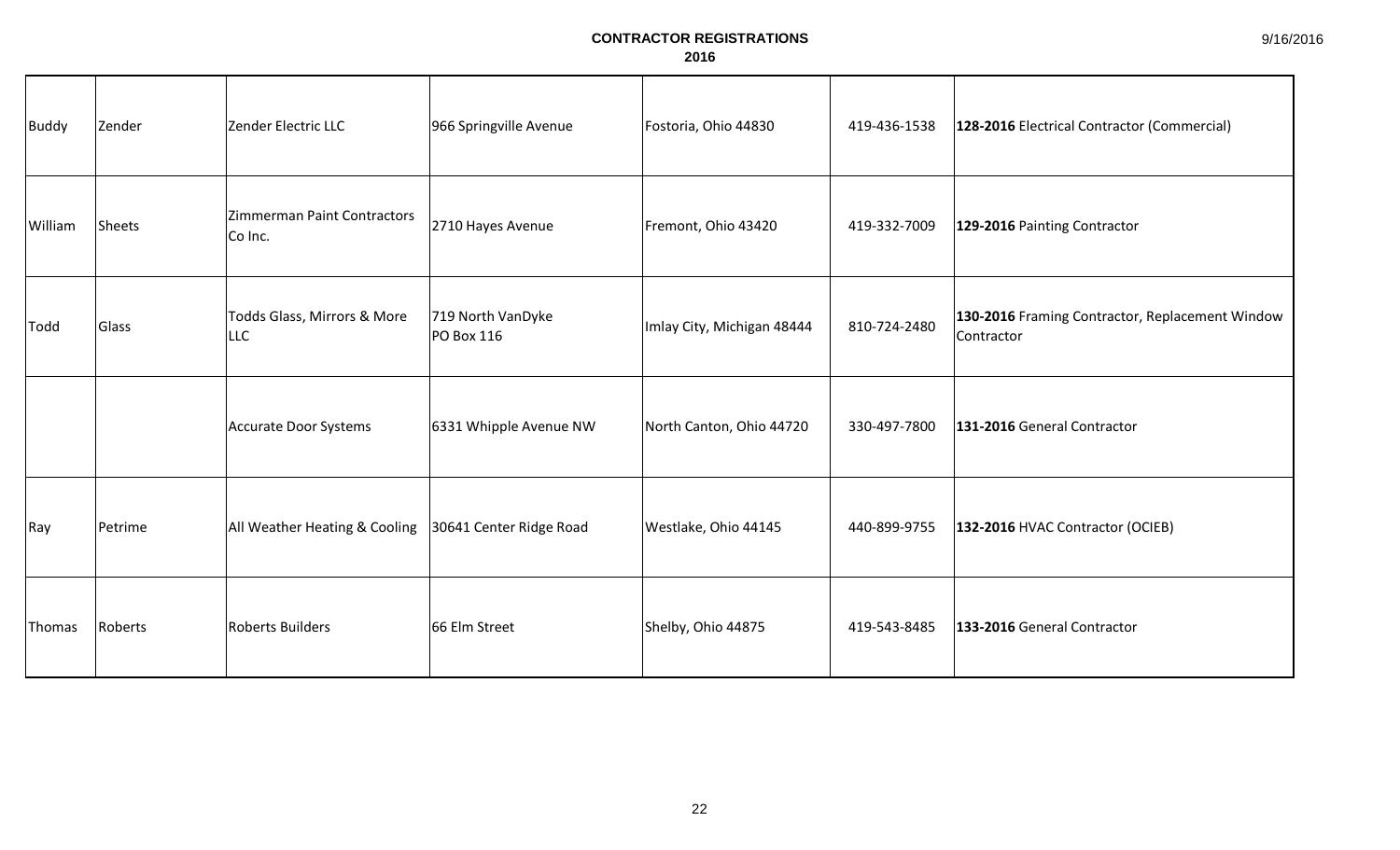| Buddy   | Zender  | Zender Electric LLC                                     | 966 Springville Avenue          | Fostoria, Ohio 44830       | 419-436-1538 | 128-2016 Electrical Contractor (Commercial)                   |
|---------|---------|---------------------------------------------------------|---------------------------------|----------------------------|--------------|---------------------------------------------------------------|
| William | Sheets  | Zimmerman Paint Contractors<br>Co Inc.                  | 2710 Hayes Avenue               | Fremont, Ohio 43420        | 419-332-7009 | 129-2016 Painting Contractor                                  |
| Todd    | Glass   | Todds Glass, Mirrors & More<br><b>LLC</b>               | 719 North VanDyke<br>PO Box 116 | Imlay City, Michigan 48444 | 810-724-2480 | 130-2016 Framing Contractor, Replacement Window<br>Contractor |
|         |         | Accurate Door Systems                                   | 6331 Whipple Avenue NW          | North Canton, Ohio 44720   | 330-497-7800 | 131-2016 General Contractor                                   |
| Ray     | Petrime | All Weather Heating & Cooling   30641 Center Ridge Road |                                 | Westlake, Ohio 44145       | 440-899-9755 | 132-2016 HVAC Contractor (OCIEB)                              |
| Thomas  | Roberts | Roberts Builders                                        | 66 Elm Street                   | Shelby, Ohio 44875         | 419-543-8485 | 133-2016 General Contractor                                   |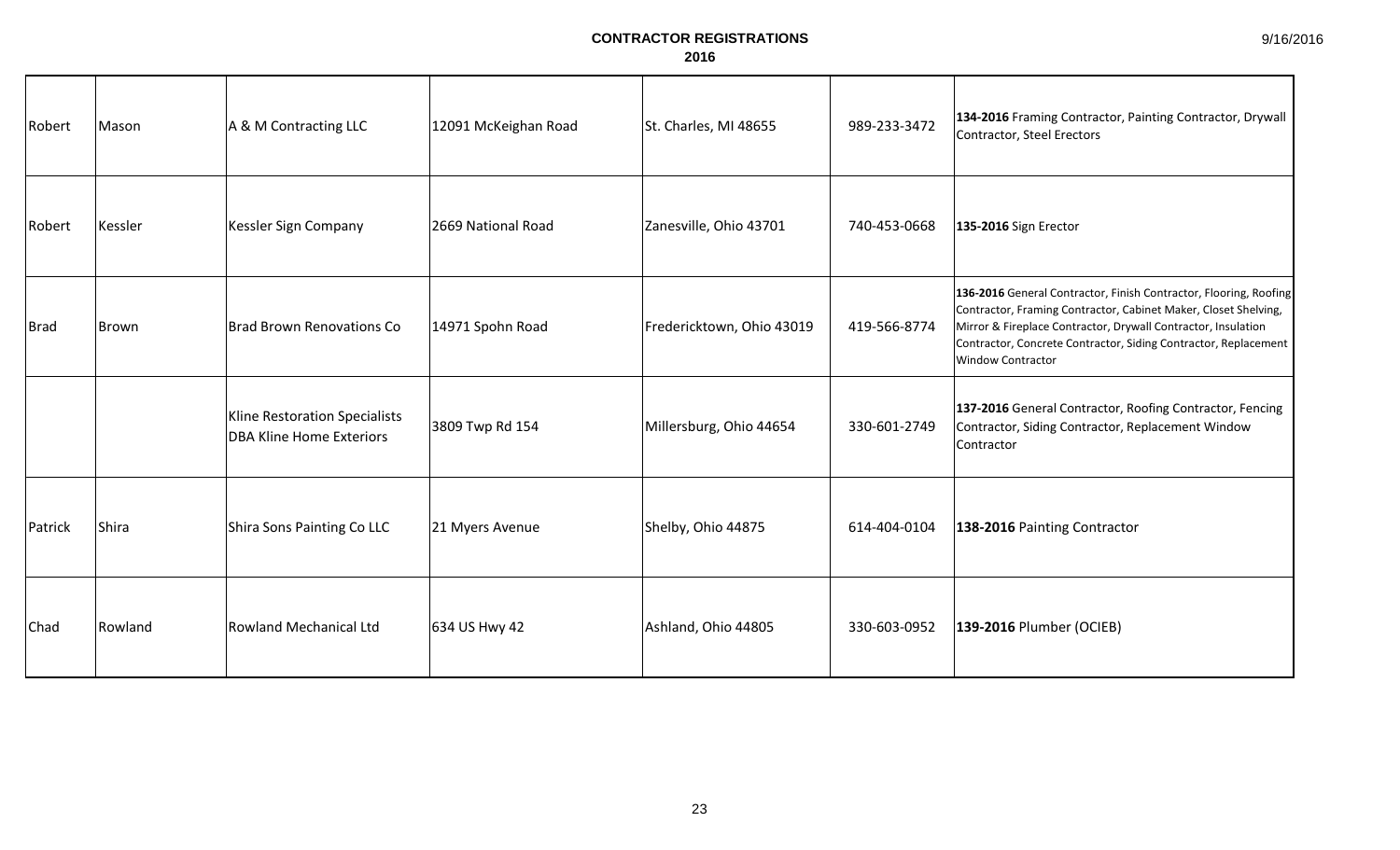| Robert      | Mason   | A & M Contracting LLC                                            | 12091 McKeighan Road | St. Charles, MI 48655     | 989-233-3472 | 134-2016 Framing Contractor, Painting Contractor, Drywall<br>Contractor, Steel Erectors                                                                                                                                                                                                       |
|-------------|---------|------------------------------------------------------------------|----------------------|---------------------------|--------------|-----------------------------------------------------------------------------------------------------------------------------------------------------------------------------------------------------------------------------------------------------------------------------------------------|
| Robert      | Kessler | Kessler Sign Company                                             | 2669 National Road   | Zanesville, Ohio 43701    | 740-453-0668 | 135-2016 Sign Erector                                                                                                                                                                                                                                                                         |
| <b>Brad</b> | Brown   | <b>Brad Brown Renovations Co</b>                                 | 14971 Spohn Road     | Fredericktown, Ohio 43019 | 419-566-8774 | 136-2016 General Contractor, Finish Contractor, Flooring, Roofing<br>Contractor, Framing Contractor, Cabinet Maker, Closet Shelving,<br>Mirror & Fireplace Contractor, Drywall Contractor, Insulation<br>Contractor, Concrete Contractor, Siding Contractor, Replacement<br>Window Contractor |
|             |         | Kline Restoration Specialists<br><b>DBA Kline Home Exteriors</b> | 3809 Twp Rd 154      | Millersburg, Ohio 44654   | 330-601-2749 | 137-2016 General Contractor, Roofing Contractor, Fencing<br>Contractor, Siding Contractor, Replacement Window<br>Contractor                                                                                                                                                                   |
| Patrick     | Shira   | Shira Sons Painting Co LLC                                       | 21 Myers Avenue      | Shelby, Ohio 44875        | 614-404-0104 | 138-2016 Painting Contractor                                                                                                                                                                                                                                                                  |
| Chad        | Rowland | Rowland Mechanical Ltd                                           | 634 US Hwy 42        | Ashland, Ohio 44805       | 330-603-0952 | 139-2016 Plumber (OCIEB)                                                                                                                                                                                                                                                                      |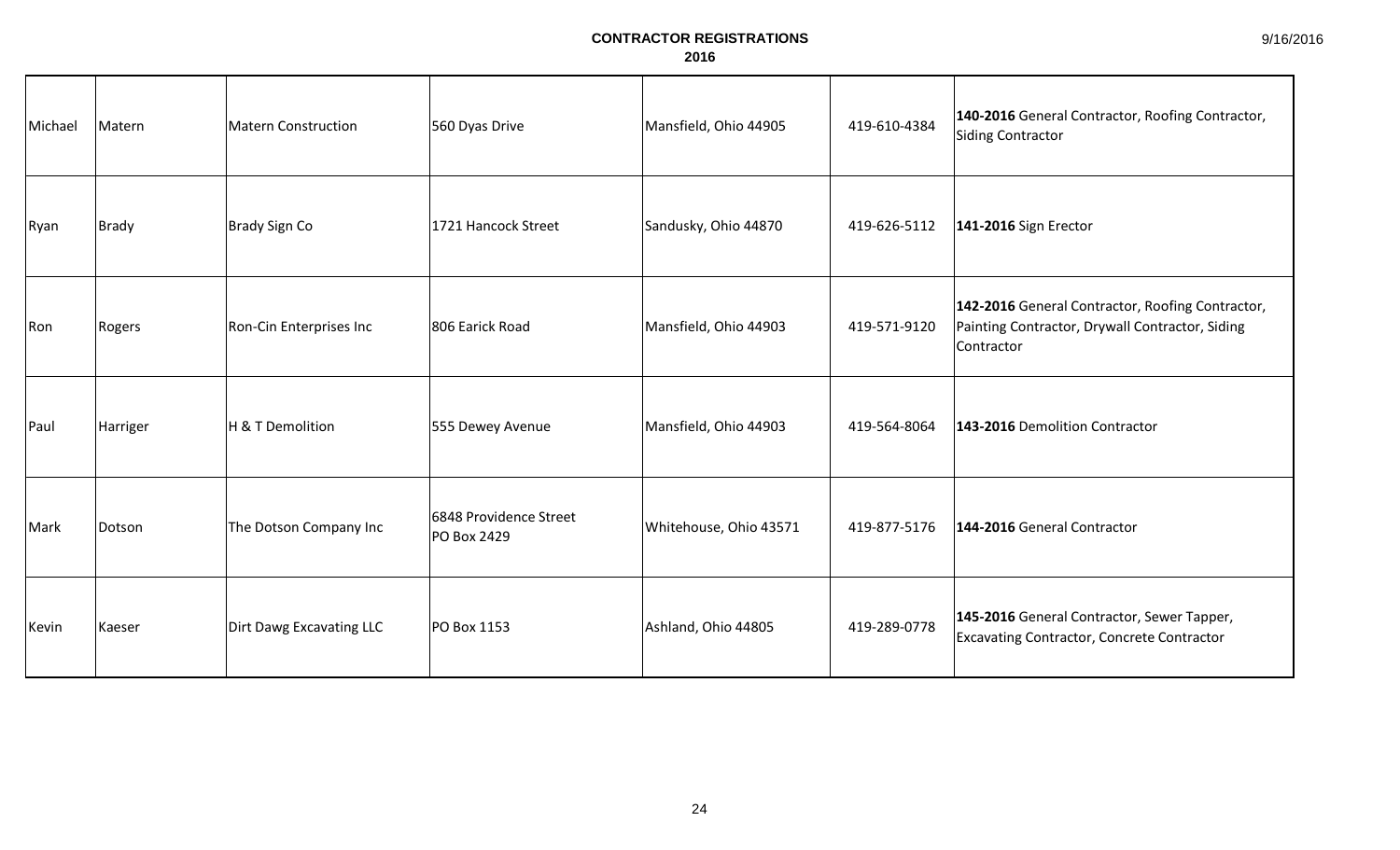9/16/2016

| Michael | Matern   | <b>Matern Construction</b> | 560 Dyas Drive                        | Mansfield, Ohio 44905  | 419-610-4384 | 140-2016 General Contractor, Roofing Contractor,<br>Siding Contractor                                             |
|---------|----------|----------------------------|---------------------------------------|------------------------|--------------|-------------------------------------------------------------------------------------------------------------------|
| Ryan    | Brady    | Brady Sign Co              | 1721 Hancock Street                   | Sandusky, Ohio 44870   | 419-626-5112 | 141-2016 Sign Erector                                                                                             |
| Ron     | Rogers   | Ron-Cin Enterprises Inc    | 806 Earick Road                       | Mansfield, Ohio 44903  | 419-571-9120 | 142-2016 General Contractor, Roofing Contractor,<br>Painting Contractor, Drywall Contractor, Siding<br>Contractor |
| Paul    | Harriger | H & T Demolition           | 555 Dewey Avenue                      | Mansfield, Ohio 44903  | 419-564-8064 | 143-2016 Demolition Contractor                                                                                    |
| Mark    | Dotson   | The Dotson Company Inc     | 6848 Providence Street<br>PO Box 2429 | Whitehouse, Ohio 43571 | 419-877-5176 | 144-2016 General Contractor                                                                                       |
| Kevin   | Kaeser   | Dirt Dawg Excavating LLC   | PO Box 1153                           | Ashland, Ohio 44805    | 419-289-0778 | 145-2016 General Contractor, Sewer Tapper,<br><b>Excavating Contractor, Concrete Contractor</b>                   |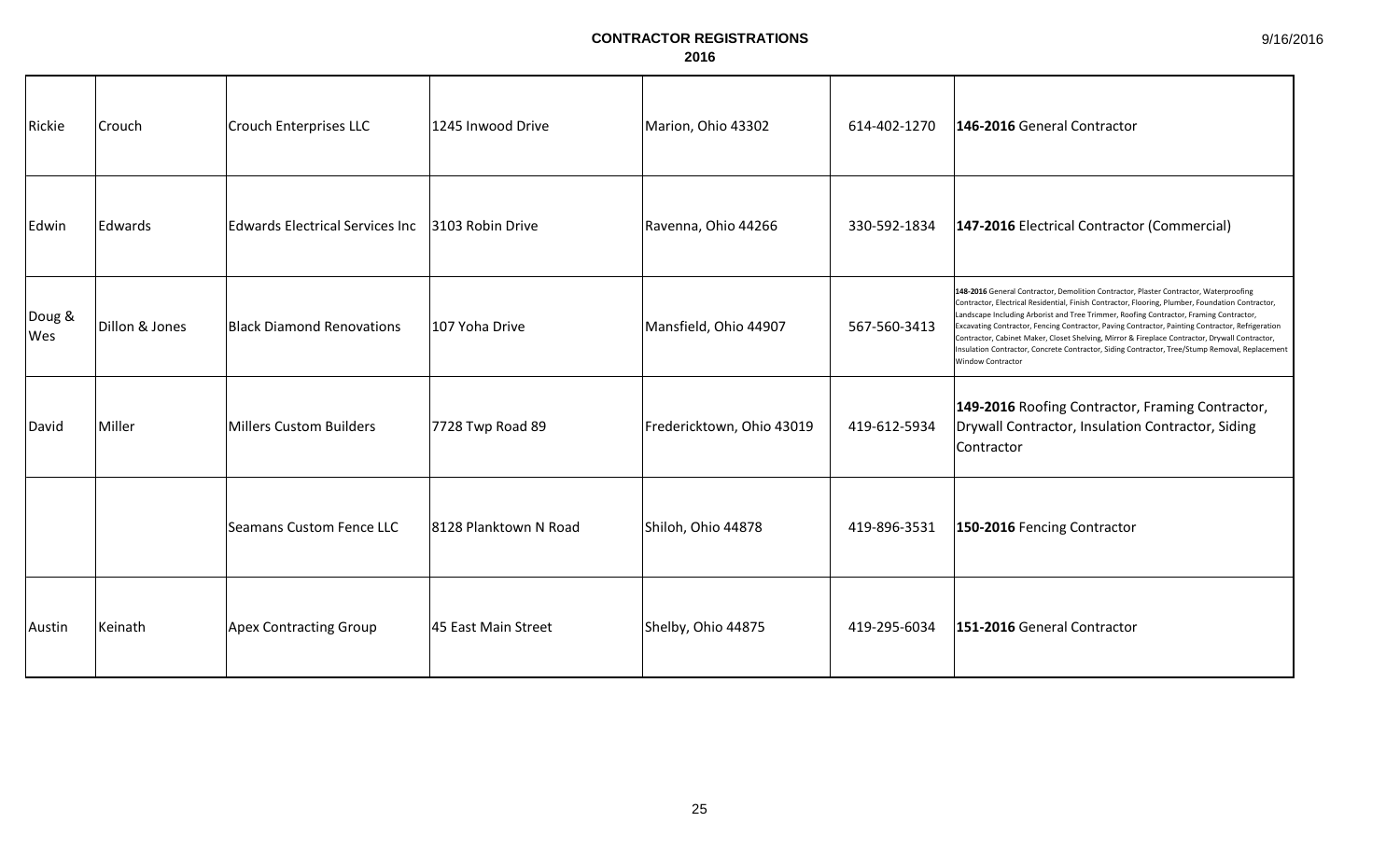| Rickie        | Crouch         | Crouch Enterprises LLC                 | 1245 Inwood Drive     | Marion, Ohio 43302        | 614-402-1270 | 146-2016 General Contractor                                                                                                                                                                                                                                                                                                                                                                                                                                                                                                                                                                                      |
|---------------|----------------|----------------------------------------|-----------------------|---------------------------|--------------|------------------------------------------------------------------------------------------------------------------------------------------------------------------------------------------------------------------------------------------------------------------------------------------------------------------------------------------------------------------------------------------------------------------------------------------------------------------------------------------------------------------------------------------------------------------------------------------------------------------|
| Edwin         | Edwards        | <b>Edwards Electrical Services Inc</b> | 3103 Robin Drive      | Ravenna, Ohio 44266       | 330-592-1834 | 147-2016 Electrical Contractor (Commercial)                                                                                                                                                                                                                                                                                                                                                                                                                                                                                                                                                                      |
| Doug &<br>Wes | Dillon & Jones | <b>Black Diamond Renovations</b>       | 107 Yoha Drive        | Mansfield, Ohio 44907     | 567-560-3413 | 148-2016 General Contractor, Demolition Contractor, Plaster Contractor, Waterproofing<br>Contractor, Electrical Residential, Finish Contractor, Flooring, Plumber, Foundation Contractor,<br>Landscape Including Arborist and Tree Trimmer, Roofing Contractor, Framing Contractor,<br>Excavating Contractor, Fencing Contractor, Paving Contractor, Painting Contractor, Refrigeration<br>Contractor, Cabinet Maker, Closet Shelving, Mirror & Fireplace Contractor, Drywall Contractor,<br>Insulation Contractor, Concrete Contractor, Siding Contractor, Tree/Stump Removal, Replacement<br>Window Contractor |
| David         | Miller         | Millers Custom Builders                | 7728 Twp Road 89      | Fredericktown, Ohio 43019 | 419-612-5934 | 149-2016 Roofing Contractor, Framing Contractor,<br>Drywall Contractor, Insulation Contractor, Siding<br>Contractor                                                                                                                                                                                                                                                                                                                                                                                                                                                                                              |
|               |                | Seamans Custom Fence LLC               | 8128 Planktown N Road | Shiloh, Ohio 44878        | 419-896-3531 | 150-2016 Fencing Contractor                                                                                                                                                                                                                                                                                                                                                                                                                                                                                                                                                                                      |
| Austin        | Keinath        | <b>Apex Contracting Group</b>          | 45 East Main Street   | Shelby, Ohio 44875        | 419-295-6034 | 151-2016 General Contractor                                                                                                                                                                                                                                                                                                                                                                                                                                                                                                                                                                                      |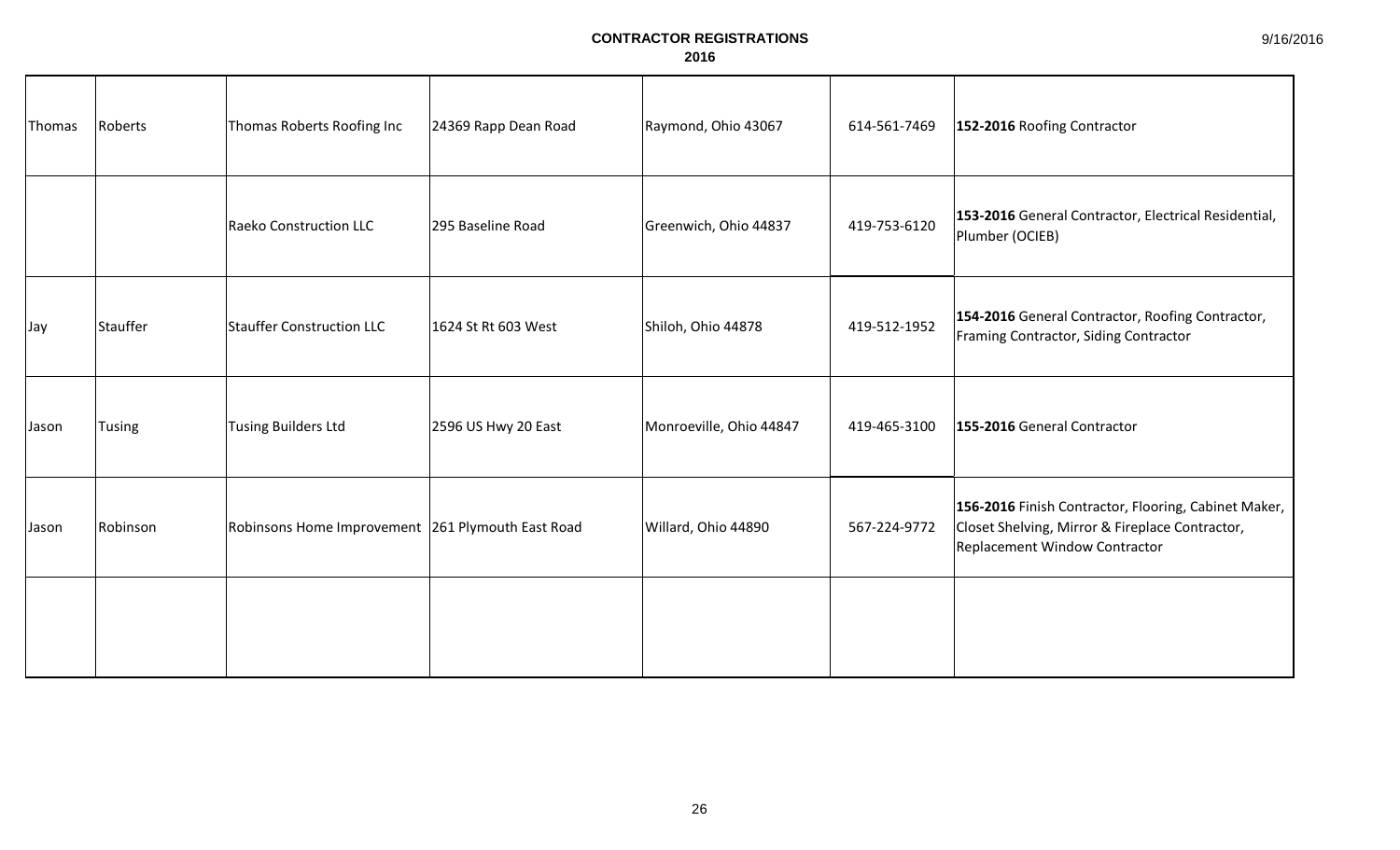| Thomas | Roberts       | Thomas Roberts Roofing Inc                        | 24369 Rapp Dean Road | Raymond, Ohio 43067     | 614-561-7469 | 152-2016 Roofing Contractor                                                                                                              |
|--------|---------------|---------------------------------------------------|----------------------|-------------------------|--------------|------------------------------------------------------------------------------------------------------------------------------------------|
|        |               | <b>Raeko Construction LLC</b>                     | 295 Baseline Road    | Greenwich, Ohio 44837   | 419-753-6120 | 153-2016 General Contractor, Electrical Residential,<br>Plumber (OCIEB)                                                                  |
| Jay    | Stauffer      | <b>Stauffer Construction LLC</b>                  | 1624 St Rt 603 West  | Shiloh, Ohio 44878      | 419-512-1952 | 154-2016 General Contractor, Roofing Contractor,<br>Framing Contractor, Siding Contractor                                                |
| Jason  | <b>Tusing</b> | <b>Tusing Builders Ltd</b>                        | 2596 US Hwy 20 East  | Monroeville, Ohio 44847 | 419-465-3100 | 155-2016 General Contractor                                                                                                              |
| Jason  | Robinson      | Robinsons Home Improvement 261 Plymouth East Road |                      | Willard, Ohio 44890     | 567-224-9772 | 156-2016 Finish Contractor, Flooring, Cabinet Maker,<br>Closet Shelving, Mirror & Fireplace Contractor,<br>Replacement Window Contractor |
|        |               |                                                   |                      |                         |              |                                                                                                                                          |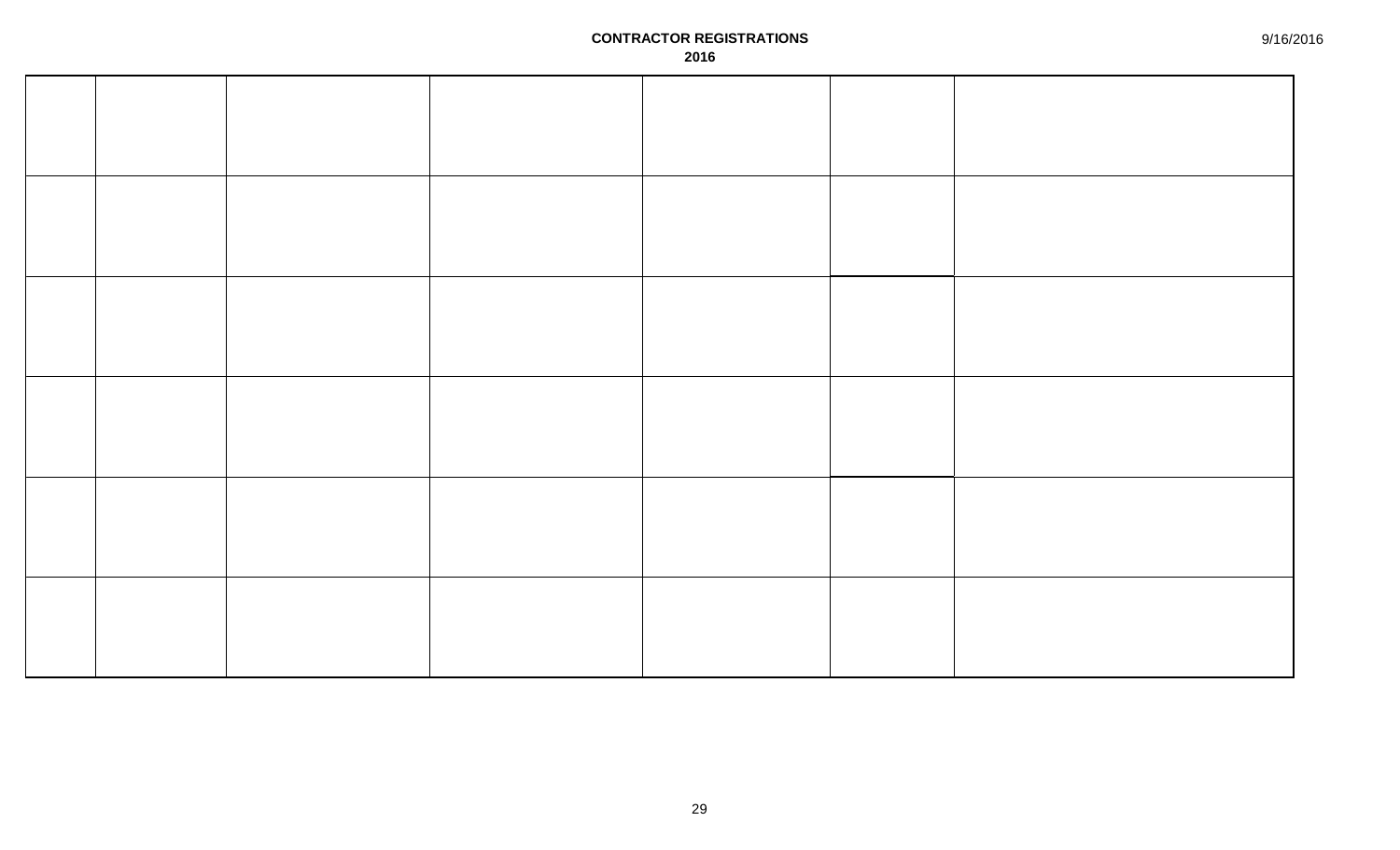9/16/2016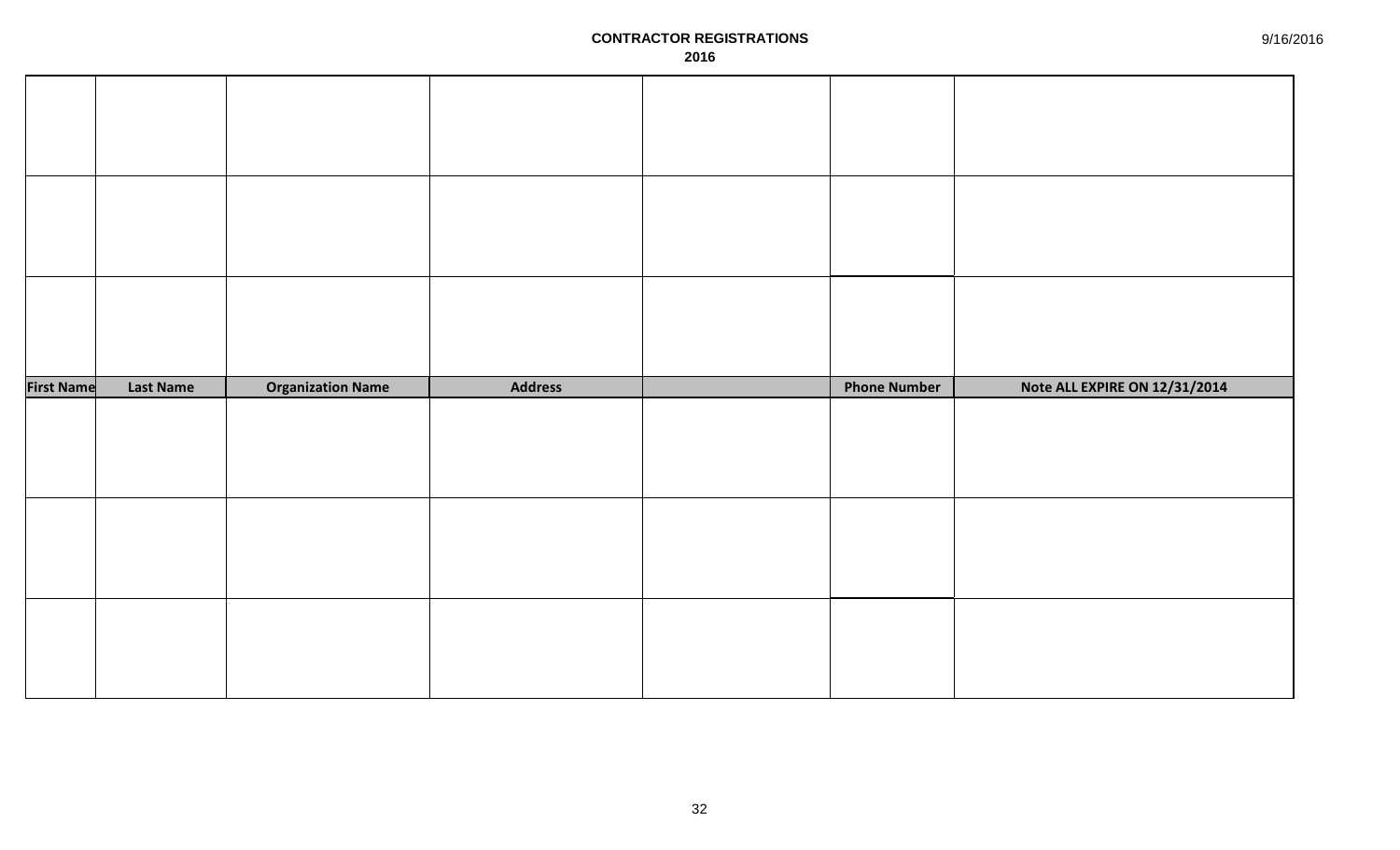| <b>First Name</b> | <b>Last Name</b> | <b>Organization Name</b> | <b>Address</b> | <b>Phone Number</b> | Note ALL EXPIRE ON 12/31/2014 |
|-------------------|------------------|--------------------------|----------------|---------------------|-------------------------------|
|                   |                  |                          |                |                     |                               |
|                   |                  |                          |                |                     |                               |
|                   |                  |                          |                |                     |                               |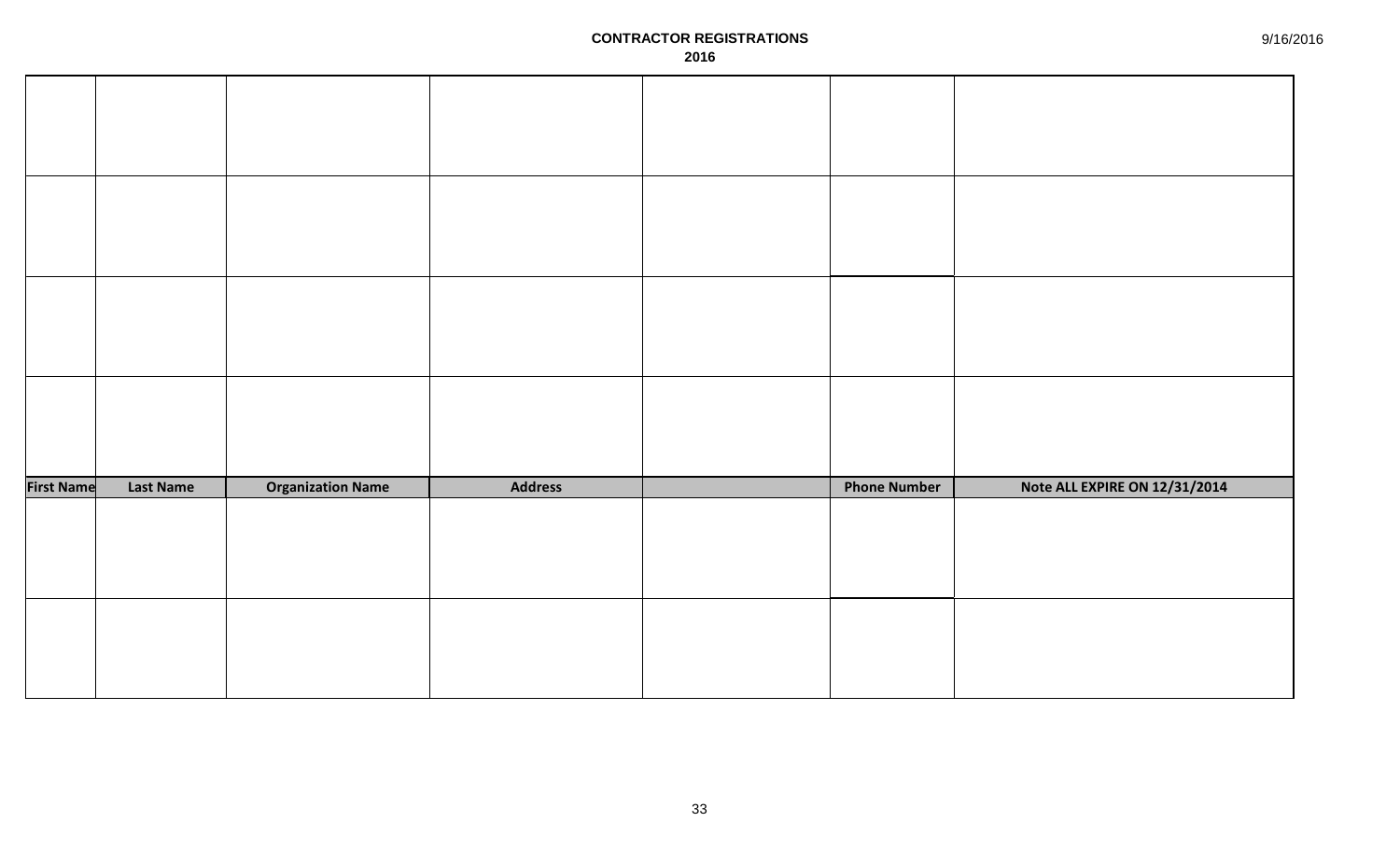| <b>First Name</b> | <b>Last Name</b> | <b>Organization Name</b> | <b>Address</b> | <b>Phone Number</b> | Note ALL EXPIRE ON 12/31/2014 |
|-------------------|------------------|--------------------------|----------------|---------------------|-------------------------------|
|                   |                  |                          |                |                     |                               |
|                   |                  |                          |                |                     |                               |